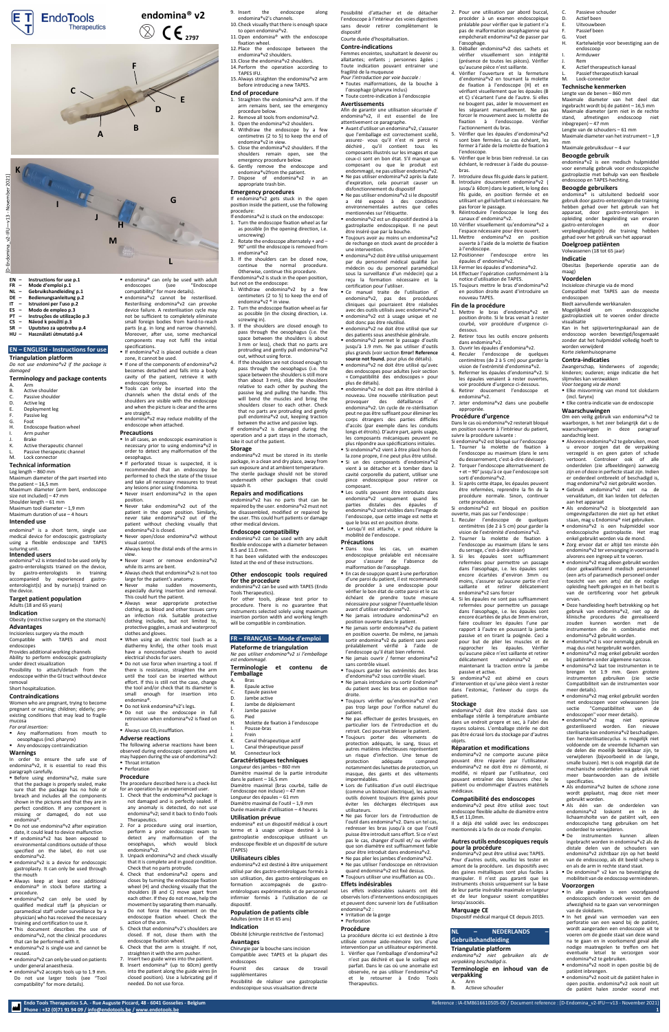**Endo Tools Therapeutics S.A. - Rue Auguste Piccard, 48 - 6041 Gosselies - Belgium** Reference : IA-EM8616610505-00 / Document reference [: \[D-Endomina\\_v2-IFU](#page-0-0)—v13 - November 2021]

**Phone : +32 (0)71 91 94 09 [/ info@endotools.be](mailto:info@endotools.be) [/ www.endotools.be](http://www.endotools.be/) 1**

- A. Arm B. Active shoulder
- C. Passive shoulder
- D. Active leg E. Deployment leg
- 
- F. Passive leg Foot
- H. Endoscope fixation wheel
- Arm pusher
- J. Brake
- K. Active therapeutic channel
- L. Passive therapeutic channel<br>M. Lock connector
- Lock connector
- 
- **EN – Instructions for use p.1 FR – Mode d'emploi p.1**
- **NL – Gebruikshandleiding p.1**
- **DE – Bedienungsanleitung p.2**
- **IT – Istruzioni per l'uso p.2**
- **ES – Modo de empleo p.3 PT – Instruções de utilização p.3**
- 
- **CS – Návod k použití p.3**
- **SR – Uputstvo za upotrebu p.4 HU – Használati útmutató p.4**

# **EN – ENGLISH - Instructions for use**

- **Triangulation platform**
- 
- *Do not use endomina®v2 if the package is damaged*

# **Terminology and package contents**

Incisionless surgery via the mouth<br>Compatible with TAPES are with TAPES and most endoscopes

# **Technical information**

- Leg length 860 mm Maximum diameter of the part inserted into the patient – 16,5 mm
- Maximum diameter (arm bent, endoscope size not included) – 47 mm Shoulder length – 61 mm
- Maximum tool diameter 1,9 mm Maximum duration of use – 4 hours

- Any malformations from mouth to oesophagus (incl. pharynx)
- Any endoscopy contraindication

# **Intended use**

endomina® is a short term, single use medical device for endoscopic gastroplasty using a flexible endoscope and TAPES suturing unit.

# **Intended users**

- endomina® v2 is intended to be used only by gastro-enterologists trained on the device, by gastro-enterologists in training accompanied by experienced gastroenterologist(s) and by nurse(s) trained on the device.
- **Target patient population**
- Adults (18 and 65 years)

# **Indication**

Obesity (restrictive surgery on the stomach)

#### **Advantages**

Provides additional working channels Ability to perform endoscopic gastroplasty

- Before using endomina®v2, make sure that the package is properly sealed, make sure that the package has no hole or breach and includes all the components shown in the pictures and that they are in perfect condition. If any component is missing or damaged, do not use endomina®.
- Do not use endomina®v2 after expiration date, it could lead to device malfunction
- If endomina®v2 has been exposed to environmental conditions outside of those specified on the label, do not use endomina®v2.
- endomina®v2 is a device for endoscopic gastroplasty. It can only be used through the mouth
- **Always keep at least one additional** endomina® in stock before starting a procedure.
- endomina®v2 can only be used by qualified medical staff (a physician or paramedical staff under surveillance by a physician) who has received the necessary training and certification to use it.
- This document describes the use of endomina®v2, not the clinical procedures that can be performed with it.
- endomina®v2 is single-use and cannot be reused.
- endomina®v2 can only be used on patients under general anaesthesia.
- endomina<sup>®</sup>v2 accepts tools up to 1.9 mm. Do not use larger tools (see "Tool compatibility" for more details).

under direct visualization Possibility to attach/detach from the endoscope within the GI tract without device removal

Short hospitalization.

#### **Contraindications**

Women who are pregnant, trying to become pregnant or nursing; children; elderly; preexisting conditions that may lead to fragile mucosa

*For oral insertion:*

- endomina® can only be used with adult endoscopes (see "Endoscope
- compatibility" for more details). ■ endomina®v2 cannot be resterilised. Resterilising endomina®v2 can provoke device failure. A resterilisation cycle may not be sufficient to completely eliminate small foreign bodies from hard-to-reach parts (e.g. in long and narrow channels).
- Moreover, after use, some mechanical components may not fulfil the initial specifications. ■ If endomina®v2 is placed outside a clean
- zone, it cannot be used. **E** If one of the components of endomina<sup>®</sup>v2
- becomes detached and falls into a body cavity of the patient, retrieve it with endoscopic forceps.
- **Tools can only be inserted into the** channels when the distal ends of the shoulders are visible with the endoscope and when the picture is clear and the arms are straight.
- endomina®v2 may reduce mobility of the endoscope when attached.

#### **Warnings**

In order to ensure the safe use of endomina®v2, it is essential to read this paragraph carefully.

- When using an electric tool (such as a diathermy knife), the other tools must have a nonconductive sheath to avoid electrical shocks for users.
- Do not use force when inserting a tool. If there is resistance, straighten the arm until the tool can be inserted without effort. If this is still not the case, change the tool and/or check that its diameter is small enough for insertion into endomina®.
- Do not kink endomina®v2's legs.
- Do not use the endoscope in full retrovision when endomina®v2 is fixed on it.
- Always use C02 insufflation.

The following adverse reactions have been observed during endoscopic operations and may happen during the use of endomina®v2: ■ Throat irritation

■ Perforation

#### **Precautions**

- In all cases, an endoscopic examination is necessary prior to using endomina®v2 in order to detect any malformation of the oesophagus.
- **If perforated tissue is suspected, it is** recommended that an endoscopy be performed to check the state of the tissue and take all necessary measures to treat any lesions prior using Endomina.
- Never insert endomina®v2 in the open position.
- Never take endomina®v2 out of the patient in the open position. Similarly, never take endomina®v2 out of the patient without checking visually that endomina®v2 is closed.
- Never open/close endomina®v2 without visual control.
- Always keep the distal ends of the arms in view.
- Never insert or remove endomina®v2 while its arms are bent.
- Always check that endomina®v2 is not too large for the patient's anatomy.
- Never make sudden movements, especially during insertion and removal. This could hurt the patient.
- **Always wear appropriate protective**

For other tools, please test prior to procedure. There is no guarantee

clothing, as blood and other tissues carry an infection risk. Suitable protective clothing includes, but not limited to, protective goggles, a mask and waterproof clothes and gloves.

#### **Adverse reactions**

#### **Procedure**

The procedure described here is a check-list for an operation by an experienced user.

■ Avant d'utiliser un endomina®v2, s'assurer que l'emballage est correctement scellé, assurez- vous qu'il n'est ni percé ni déchiré , qu'il contient tous les composants illustrés sur les images et que ceux-ci sont en bon état. S'il manque un composant ou que le produit est endommagé, ne pas utiliser endomina®v2. ■ Ne pas utiliser endomina®v2 après la date d'expiration, cela pourrait causer un disfonctionnement du dispositif ■ Ne pas utiliser endomina®v2 si le dispositif a été exposé à des conditions environnementales autres que celles

■ endomina®v2 est un dispositif destiné à la gastroplastie endoscopique. Il ne peut

- 1. Check that the endomina®v2 package is not damaged and is perfectly sealed. If any anomaly is detected, do not use endomina®v2; send it back to Endo Tools Therapeutics.
- 2. For a procedure using oral insertion, perform a prior endoscopic exam to detect any malformation of the oesophagus, which would block endomina®v2.
- 3. Unpack endomina®v2 and check visually that it is complete and in good condition. Check that no parts protrude.
- 4. Check that endomina®v2 opens and closes by turning the endoscope fixation wheel (H) and checking visually that the shoulders (B and C) move apart from each other. If they do not move, help the movement by separating them manually. Do not force the movement on the endoscope fixation wheel. Check the action of the arm.
- 5. Check that endomina®v2's shoulders are closed. If not, close them with the endoscope fixation wheel.
- 6. Check that the arm is straight. If not, straighten it with the arm pusher.
- 7. Insert two guide wires into the patient. 8. Insert endomina® (up to 60cm) gently into the patient along the guide wires (in closed position). Use a lubricating gel if needed. Do not use force.

■ endomina®v2 doit être utilisé uniquement par du personnel médical qualifié (un médecin ou du personnel paramédical sous la surveillance d'un médecin) qui a reçu la formation nécessaire et la

▪ Ce manuel traite de l'utilisation d' endomina®v2, pas des procédures cliniques qui pourraient être réalisées avec des outils utilisés avec endomina®v2 endomina®v2 est à usage unique et ne

■ endomina®v2 ne doit être utilisé que sur des patients sous anesthésie générale. ■ endomina®v2 permet le passage d'outils jusqu'à 1.9 mm. Ne pas utiliser d'outils plus grands (voir section **Error! Reference source not found.** pour plus de détails). endomina®v2 ne doit être utilisé qu'avec des endoscopes pour adultes (voir section « [Compatibilité des endoscopes](#page-0-1) » pour

- 9. Insert the endoscope along endomina®v2's channels.
- 10. Check visually that there is enough space to open endomina®v2. 11.Open endomina® with the endoscope
- fixation wheel. 12. Place the endoscope between the
- endomina®v2 shoulders. 13. Close the endomina®v2 shoulders.
- 14. Perform the operation according to TAPES IFU.
- 15. Always straighten the endomina®v2 arm before introducing a new TAPES.

■ Les outils peuvent être introduits dans endomina®v2 uniquement quand les parties distales des épaules d' endomina®v2 sont visibles dans l'image de l'endoscope, que cette image est nette et que le bras est en position droite. ▪ Lorsqu'il est attaché, v peut réduire la

Dans tous les cas, un examen endoscopique préalable est nécessaire pour s'assurer de l'absence de

# **End of procedure**

- 1. Straighten the endomina®v2 arm. If the arm remains bent, see the emergency procedure below.
- 2. Remove all tools from endomina<sup>®</sup>v2.
- 3. Open the endomina®v2 shoulders. 4. Withdraw the endoscope by a few centimetres (2 to 5) to keep the end of
- endomina®v2 in view. 5. Close the endomina®v2 shoulders. If the shoulders remain open, see the
- emergency procedure below. 6. Gently remove the endoscope and
- endomina®v2from the patient. 7. Dispose of endomina®v2 in an
- appropriate trash bin. **Emergency procedures**

If endomina®v2 gets stuck in the open position inside the patient, use the following procedure:

- Irritation de la gorge
- Perforation
- If endomina®v2 is stuck on the endoscope: 1. Turn the endoscope fixation wheel as far as possible (in the opening direction, i.e.
- unscrewing) 2. Rotate the endoscope alternately + and – 90° until the endoscope is removed from
- endomina®v2 3. If the shoulders can be closed now, continue the normal procedure. Otherwise, continue this procedure.
- If endomina®v2 is stuck in the open position, but not on the endoscope:
- 1. Withdraw endomina®v2 by a few centimeters (2 to 5) to keep the end of endomina®v2 ® in view.
- 2. Turn the endoscope fixation wheel as far as possible (in the closing direction, i.e. screwing in).
- 3. If the shoulders are closed enough to pass through the oesophagus (i.e. the space between the shoulders is about 3 mm or less), check that no parts are protruding and gently pull endomina®v2 out, without using force.
- 4. If the shoulders are not closed enough to pass through the oesophagus (i.e. the space between the shoulders is still more than about 3 mm), slide the shoulders relative to each other by pushing the passive leg and pulling the handle. This will bend the muscles and bring the shoulders closer to each other. Check that no parts are protruding and gently pull endomina®v2 out, keeping traction between the active and passive legs.

If endomina®v2 is damaged during the operation and a part stays in the stomach, take it out of the patient.

### **Storage**

endomina®v2 must be stored in its sterile package, in a clean and dry place, away from sun exposure and at ambient temperature. The sterile package should not be stored underneath other packages that could squash it.

#### **Repairs and modifications**

endomina®v2 has no parts that can be repaired by the user. endomina®v2 must not be disassembled, modified or repaired by the user. This could hurt patients or damage other medical devices.

#### **Endoscope compatibility**

endomina®v2 can be used with any adult flexible endoscope with a diameter between 8.5 and 11.0 mm.

It has been validated with the endoscopes listed at the end of these instructions.

#### **Other endoscopic tools required for the procedure**

endomina®v2 can be used with TAPES (Endo Tools Therapeutics).

instruments selected solely using maximum insertion portion width and working length will be compatible in combination.

# **FR – FRANÇAIS – Mode d'emploi**

#### **Plateforme de triangulation**

*Ne pas utiliser endomina®v2 si l'emballage est endommagé.*

#### **Terminologie et contenu de l'emballage** A. Bras

- B. Epaule active
- C. Epaule passive
- D. Jambe active
- E. Jambe de déploiement
- F. Jambe passive
- G. Pied
- H. Molette de fixation à l'endoscope
- Pousse-bras
- J. Frein
- K. Canal thérapeutique actif Canal thérapeutique passif
- M. Connecteur lock

#### **Caractéristiques techniques**

Longueur des jambes – 860 mm Diamètre maximal de la partie introduite dans le patient – 16,5 mm Diamètre maximal (bras courbé, taille de l'endoscope non incluse) – 47 mm Longueur des épaules – 61 mm Diamètre maximal de l'outil – 1,9 mm Durée maximale d'utilisation – 4 heures

#### **Utilisation prévue**

endomina® est un dispositif médical à court terme et à usage unique destiné à la gastroplastie endoscopique utilisant un endoscope flexible et un dispositif de suture (TAPES)

#### **Utilisateurs cibles**

C. Passieve schouder<br>D. Actief been Actief been E. Uitvouwbeen F. Passief been G. Voet

> endoscoop **Armduwer** Rem

endomina®v2 est destiné à être uniquement utilisé par des gastro-entérologues formés à son utilisation, des gastro-entérologues en formation accompagnés de gastroentérologues expérimentés et de personnel infirmier formés à l'utilisation de ce dispositif.

#### **Population de patients cible**

Adultes (entre 18 et 65 ans)

#### **Indication**

Obésité (chirurgie restrictive de l'estomac) **Avantages**

Chirurgie par la bouche sans incision Compatible avec TAPES et la plupart des endoscopes Fournit des canaux de travail

supplémentaires

Possibilité de réaliser une gastroplastie endoscopique sous visualisation directe

Possibilité d'attacher et de détacher l'endoscope à l'intérieur des voies digestives sans devoir retirer complètement le dispositif

# Courte durée d'hospitalisation.

#### **Contre-indications** Femmes enceintes, souhaitant le devenir ou

- allaitantes; enfants ; personnes âgées ; Toute indication pouvant entrainer une fragilité de la muqueuse
- *Pour l'introduction par voie buccale :* ▪ Toutes malformations, de la bouche à

l'œsophage (pharynx inclus)

# ▪ Toute contre-indication à l'endoscopie

#### **Avertissements** Afin de garantir une utilisation sécurisée d'

■ Alvorens endomina®v2 te gebruiken, moet u ervoor zorgen dat de verpakking verzegeld is en geen gaten of schade vertoont. Controleer ook of alle onderdelen (zie afbeeldingen) aanwezig zijn en of deze in perfecte staat zijn. Indien er onderdeel ontbreekt of beschadigd is, mag endomina®v2 niet gebruikt worden. ■ Gebruik endomina®v2 niet na de vervaldatum, dit kan leiden tot defecten

endomina®v2, il est essentiel de lire

attentivement ce paragraphe.

■ Als endomina®v2 is blootgesteld aan omgevingsfactoren die niet op het etiket staan, mag u Endomina® niet gebruiken. ■ endomina®v2 is een hulpmiddel voor endoscopische gastroplastie. Het mag enkel gebruikt worden via de mond. ■ Zorg ervoor dat er altijd ten minste één endomina®v2 ter vervanging in voorraad is alvorens een ingreep uit te voeren. ■ endomina®v2 mag alleen gebruikt worden door gekwalificeerd medisch personeel (een arts of paramedisch personeel onder toezicht van een arts) dat de nodige opleiding heeft gekregen en in het bezit is van de certificering voor het gebruik

mentionnées sur l'étiquette.

être inséré que par la bouche. ■ Toujours avoir au moins un endomina®v2 de rechange en stock avant de procéder à

> ■ endomina®v2 mag enkel gebruikt worden met endoscopen voor volwassenen (zie sectie "Compatibiliteit van de endoscopen" voor meer details). ▪ endomina®v2 mag niet opnieuw gesteriliseerd worden. Een nieuwe sterilisatie kan endomina®v2 beschadigen. Een hersterilisatiecyclus is mogelijk niet voldoende om de vreemde lichamen van de delen die moeilijk bereikbaar zijn, te verwijderen (bijvoorbeeld in de lange, smalle buizen). Het is ook mogelijk dat de mechanische onderdelen na gebruik niet meer beantwoorden aan de initiële

une intervention.

■ Als endomina®v2 buiten de schone zone wordt geplaatst, mag deze niet meer

certification pour l'utiliser.

**In alle gevallen is een voorafgaand** endoscopisch onderzoek vereist om de afwezigheid na te gaan van vervormingen

doit donc pas être réutilisé.

■ endomina®v2 nooit uit de patiënt halen in open positie. endomina®v2 ook nooit uit de patiënt halen zonder vooraf met

# **endomina® v2**  $C \epsilon_{2797}$

Actief therapeutisch kanaal Passief therapeutisch kanaal

plus de détails).

▪ endomina®v2 ne doit pas être stérilisé à nouveau. Une nouvelle stérilisation peut provoquer des défaillances d' endomina®v2. Un cycle de re-stérilisation peut ne pas être suffisant pour éliminer les corps étrangers des parties difficiles d'accès (par exemple dans les conduits longs et étroits). D'autre part, après usage, les composants mécaniques peuvent ne plus répondre aux spécifications initiales. Si endomina®v2 vient à être placé hors de la zone propre, il ne peut plus être utilisé. ■ Si un des composants d'endomina®v2 vient à se détacher et à tomber dans la cavité corporelle du patient, utiliser une pince endoscopique pour retirer ce

composant.

mobilité de l'endoscope.

**Précautions**

malformation de l'œsophage. ■ En cas de soupçon quant à une perforation d'une paroi du patient, il est recommandé de procéder à une endoscopie pour vérifier le bon état de cette paroi et le cas échéant de prendre toute mesure nécessaire pour soigner l'éventuelle lésion

avant d'utiliser endomina®v2.

- Ne jamais introduire endomina®v2 en position ouverte dans le patient. ■ Ne jamais sortir endomina®v2 du patient
- en position ouverte. De même, ne jamais sortir endomina®v2 du patient sans avoir préalablement vérifié à l'aide de l'endoscope qu'il était bien refermé.
- Ne jamais ouvrir / fermer endomina®v2 sans contrôle visuel.
- Toujours garder les extrémités des bras d'endomina®v2 sous contrôle visuel. ■ Ne jamais introduire ou sortir Endomina®
- du patient avec les bras en position non droite.
- Toujours vérifier qu'endomina®v2 n'est pas trop large pour l'orifice naturel du patient.
- Ne pas effectuer de gestes brusques, en particulier lors de l'introduction et du retrait. Ceci pourrait blesser le patient.
- Toujours porter des vêtements de protection adéquats, le sang, tissus et autres matières infectieuses représentant un risque d'infection. Une tenue de<br>protection adéquate comprend adéquate comprend notamment des lunettes de protection, un masque, des gants et des vêtements imperméables.
- Lors de l'utilisation d'un outil électrique (comme un bistouri électrique), les autres outils doivent toujours être gainés pour éviter les décharges électriques aux utilisateurs.

▪ Ne pas forcer lors de l'introduction de l'outil dans endomina®v2. Dans un tel cas, redresser les bras jusqu'à ce que l'outil puisse être introduit sans effort. Si ce n'est pas le cas, changer d'outil et/ ou vérifier que son diamètre est suffisamment faible pour être introduit dans endomina®v2.

- Ne pas plier les jambes d'endomina®v2. ■ Ne pas utiliser l'endoscope en rétrovision
- quand endomina®v2 est fixé dessus. ■ Toujours utiliser une insufflation au CO2..

#### **Effets indésirables**

Les effets indésirables suivants ont été observés lors d'interventions endoscopiques et peuvent donc survenir lors de l'utilisation endomina®v2 :

#### **Procédure**

La procédure décrite ici est destinée à être utilisée comme aide-mémoire lors d'une intervention par un utilisateur expérimenté. 1. Vérifier que l'emballage d'endomina®v2

n'est pas déchiré et que le scellage est parfait. Dans le cas où une anomalie est observée, ne pas utiliser l'endomina®v2 et le retourner à Endo Tools Therapeutics.

2. Pour une utilisation par abord buccal, procéder à un examen endoscopique préalable pour vérifier que le patient n'a pas de malformation œsophagienne qui empêcherait endomina®v2 de passer par

l'œsophage.

3. Déballer endomina®v2 des sachets et vérifier visuellement son intégrité (présence de toutes les pièces). Vérifier qu'aucune pièce n'est saillante. 4. Vérifier l'ouverture et la fermeture d'endomina®v2 en tournant la molette de fixation à l'endoscope (H) et en vérifiant visuellement que les épaules (B et C) s'écartent l'une de l'autre. Si elles ne bougent pas, aider le mouvement en les séparant manuellement. Ne pas forcer le mouvement avec la molette de fixation à l'endoscope. Vérifier

l'actionnement du bras.

5. Vérifier que les épaules d'endomina®v2 sont bien fermées. Le cas échéant, les fermer à l'aide de la molette de fixation à

l'endoscope.

6. Vérifier que le bras bien redressé. Le cas échéant, le redresser à l'aide du pousse-

bras.

7. Introduire deux fils guide dans le patient. 8. Introduire doucement endomina®v2 ( iusqu'à 60cm) dans le patient, le long des fils guide, en position fermée et en utilisant un gel lubrifiant si nécessaire. Ne

pas forcer le passage.

9. Réintroduire l'endoscope le long des

canaux d' endomina®v2.

10. Vérifier visuellement qu'endomina®v2 a l'espace nécessaire pour être ouvert. 11. Mettre endomina®v2 en position ouverte à l'aide de la molette de fixation

à l'endoscope.

12. Positionner l'endoscope entre les

épaules d' endomina®v2. 13. Fermer les épaules d'endomina®v2. 14. Effectuer l'opération conformément à la notice d'utilisation de TAPES. 15. Toujours mettre le bras d'endomina®v2 en position droite avant d'introduire un

nouveau TAPES. **Fin de la procédure**

1. Mettre le bras d'endomina®v2 en position droite. Si le bras venait à rester courbé, voir procédure d'urgence ci-

dessous.

2. Retirer tous les outils encore présents

dans endomina®v2.

3. Ouvrir les épaules d'endomina®v2. 4. Reculer l'endoscope de quelques centimètres (de 2 à 5 cm) pour garder la vision de l'extrémité d'endomina®v2. 5. Refermer les épaules d'endomina®v2. Si les épaules venaient à rester ouvertes, voir procédure d'urgence ci-dessous. 6. Retirer doucement l'endoscope et

endomina®v2.

7. Jeter endomina®v2 dans une poubelle

appropriée. **Procédure d'urgence**

Dans le cas où endomina®v2 resterait bloqué en position ouverte à l'intérieur du patient,

suivre la procédure suivante :

Si endomina®v2 est bloqué sur l'endoscope 1. Tourner la molette de fixation à l'endoscope au maximum (dans le sens du desserrement, c'est-à-dire dévisser). 2. Torquer l'endoscope alternativement de + et – 90° jusqu'à ce que l'endoscope soit

sorti d'endomina®v2.

3. Si après cette étape, les épaules peuvent être refermées, reprendre la fin de la procédure normale. Sinon, continuer

cette procédure.

Si endomina®v2 est bloqué en position ouverte, mais pas sur l'endoscope : 1. Reculer l'endoscope de quelques centimètres (de 2 à 5 cm) pour garder la vision de l'extrémité d'endomina®v2. 2. Tourner la molette de fixation à l'endoscope au maximum (dans le sens du serrage, c'est-à-dire visser) 3. Si les épaules sont suffisamment refermées pour permettre un passage dans l'œsophage, i.e. les épaules sont encore écartées d'environ 3mm ou moins, s'assurer qu'aucune partie n'est saillante et retirer délicatement

endomina®v2 sans forcer

4. Si les épaules ne sont pas suffisamment

refermées pour permettre un passage dans l'œsophage, i.e. les épaules sont encore écartées de plus de 3mm environ, faire coulisser les épaules l'une par rapport à l'autre en poussant la jambe passive et en tirant la poignée. Ceci a pour but de plier les muscles et de rapprocher les épaules. Vérifier qu'aucune pièce n'est saillante et retirer délicatement endomina®v2 en maintenant la traction entre la jambe

passive et active. Si endomina®v2 est abimé en cours d'intervention et qu'une pièce vient à rester dans l'estomac, l'enlever du corps du patient.

#### **Stockage**

endomina®v2 doit être stocké dans son emballage stérile à température ambiante dans un endroit propre et sec, à l'abri des rayons solaires. L'emballage stérile ne doit pas être écrasé lors du stockage par d'autres objets.

#### **Réparation et modifications**

endomina®v2 ne comporte aucune pièce pouvant être réparée par l'utilisateur. endomina®v2 ne doit être ni démonté, ni modifié, ni réparé par l'utilisateur, ceci pouvant entraîner des blessures chez le patient ou endommager d'autres matériels médicaux.

#### <span id="page-0-1"></span>**Compatibilité des endoscopes**

endomina®v2 peut être utilisé avec tout endoscope flexible adulte de diamètre entre

8,5 et 11,0mm.

Il a déjà été validé avec les endoscopes mentionnés à la fin de ce mode d'emploi. **Autres outils endoscopiques requis** 

**pour la procédure**

endomina®v2 peut être utilisé avec TAPES. Pour d'autres outils, veuillez les tester en amont de la procédure. Les dispositifs avec des gaines métalliques sont plus faciles à manipuler. Il n'est pas garanti que les instruments choisis uniquement sur la base de leur partie insérable maximale en largeur et de leur longueur soient compatibles

lorsqu'associés. **Marquage CE**

Dispositif médical marqué CE depuis 2015.

**NL – NEDERLANDS –**

**Gebruikshandleiding Triangulatie platform**

*endomina®v2 niet gebruiken als de* 

*verpakking beschadigd is.*

**Terminologie en inhoud van de** 

**verpakking** Arm B. Actieve schouder H. Kartelwieltje voor bevestiging aan de

M. Lock-connector **Technische kenmerken** Lengte van de benen – 860 mm

Maximale diameter van het deel dat ingebracht wordt bij de patiënt – 16,5 mm Maximale diameter (arm niet in de rechte stand, afmetingen endoscoop niet

inbegrepen) – 47 mm

Lengte van de schouders – 61 mm Maximale diameter van het instrument – 1,9

mm

Maximale gebruiksduur – 4 uur **Beoogde gebruik**

endomina®v2 is een medisch hulpmiddel voor eenmalig gebruik voor endoscopische gastroplastie met behulp van een flexibele

endoscoop en TAPES-hechting. **Beoogde gebruikers**

endomina® is uitsluitend bedoeld voor gebruik door gastro-enterologen die training hebben gehad over het gebruik van het apparaat, door gastro-enterologen in opleiding onder begeleiding van ervaren gastro-enterologen en door verpleegkundige(n) die training hebben gehad over het gebruik van het apparaat

**Doelgroep patiënten** Volwassenen (18 tot 65 jaar)

**Indicatie**

Obesitas (beperkende operatie aan de

maag) **Voordelen**

Incisieloze chirurgie via de mond

Compatibel met TAPES aan de meeste

endoscopen

Biedt aanvullende werkkanalen

Mogelijkheid om endoscopische gastroplastiek uit te voeren onder directe

visualisatie

Kan in het spijsverteringskanaal aan de endoscoop worden bevestigd/losgemaakt zonder dat het hulpmiddel volledig hoeft te

worden verwijderd Korte ziekenhuisopname **Contra-indicaties**

Zwangerschap, kinderwens of zogende; kinderen; ouderen; enige indicatie die het

**Elke misvorming van mond tot slokdarm** 

■ Elke contra-indicatie van de endoscopie

slijmvlies kan verzwakken *Voor toegang via de mond:*

(incl. farynx)

**Waarschuwingen**

Om een veilig gebruik van endomina®v2 te waarborgen, is het zeer belangrijk dat u de waarschuwingen in deze paragraaf

aandachtig leest.

aan het apparaat

ervan.

▪ Deze handleiding heeft betrekking op het gebruik van endomina®v2, niet op de klinische procedures die gerealiseerd zouden kunnen worden met de instrumenten die in combinatie met endomina®v2 gebruikt worden. ■ endomina®v2 is voor eenmalig gebruik en mag dus niet hergebruikt worden. ■ endomina®v2 mag enkel gebruikt worden bij patiënten onder algemene narcose. ■ endomina®v2 laat toe instrumenten in te brengen tot 1.9 mm. Geen grotere instrumenten gebruiken (zie sectie Compatibiliteit van de instrumenten voor

meer details).

specificaties.

gebruikt worden.

▪ Als één van de onderdelen van endomina®v2 loskomt en in de lichaamsholte van de patiënt valt, een endoscopische tang gebruiken om het

onderdeel te verwijderen.

▪ De instrumenten kunnen alleen ingebracht worden in endomina®v2 als de distale delen van de schouders van endomina®v2 zichtbaar zijn op het beeld van de endoscoop, als dit beeld scherp is en als de arm in rechte stand staat. ■ De endomina® v2 kan na bevestiging de mobiliteit van de endoscoop verminderen.

**Voorzorgen**

van de slokdarm.

▪ In het geval van vermoeden van een perforatie van een wand bij de patiënt, wordt aangeraden een endoscopie uit te voeren om de goede staat van deze wand na te gaan en in voorkomend geval alle nodige maatregelen te treffen om het eventuele letsel te verzorgen voor

■ endomina®v2 nooit in open positie bij de

endomina®v2 te gebruiken.

patiënt inbrengen.

<span id="page-0-0"></span>

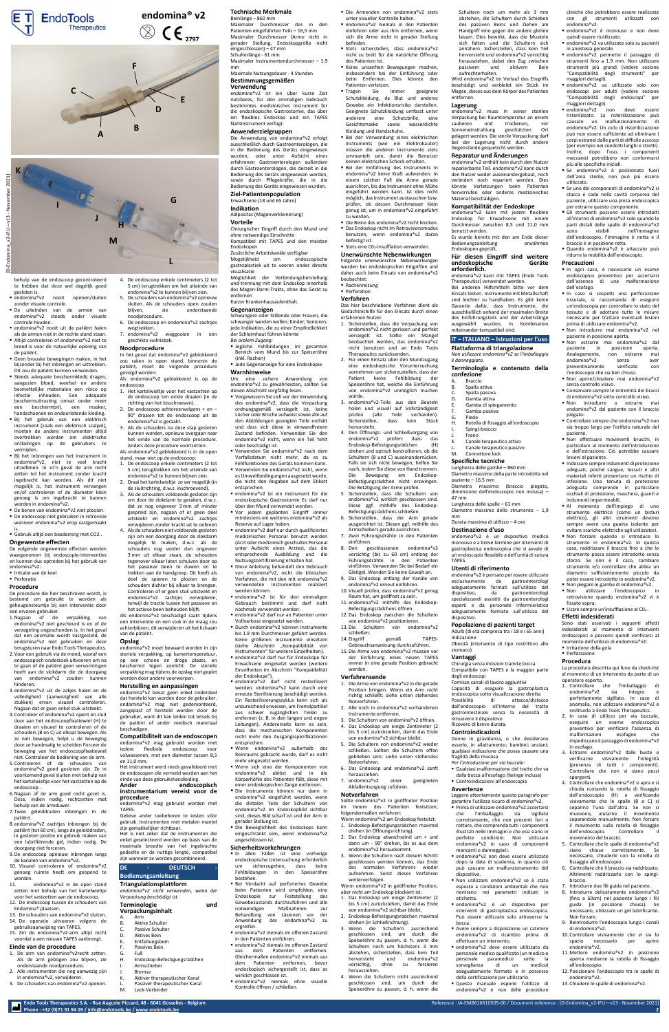behulp van de endoscoop gecontroleerd te hebben dat deze wel degelijk goed gesloten is.<br>■ endomina®v2

- nooit openen/sluiten zonder visuele controle.
- De uiteinden van de armen van endomina®v2 steeds onder visuele controle houden.
- endomina®v2 nooit uit de natiënt halen als de armen niet in de rechte stand staan. ■ Altijd controleren of endomina®v2 niet te breed is voor de natuurlijke opening van de patiënt.
- Geen bruuske bewegingen maken, in het bijzonder bij het inbrengen en uittrekken. Dit zou de patiënt kunnen verwonden.
- Steeds adequate beschermkledij dragen, aangezien bloed, weefsel en andere besmettelijke materialen een risico op infectie inhouden. Een adequate beschermuitrusting omvat onder meer een beschermbril, een masker, handschoenen en ondoorlatende kleding. Bij het gebruik van een elektrisch
- instrument (zoals een elektrisch scalpel), moeten de andere instrumenten altijd overtrokken worden om elektrische ontladingen op de gebruikers te vermijden.
- Bij het inbrengen van het instrument in endomina®v2, niet te veel kracht uitoefenen. In zo'n geval de arm recht zetten tot het instrument zonder kracht ingebracht kan worden. Als dit niet mogelijk is, het instrument vervangen en/of controleren of de diameter klein genoeg is om ingebracht te kunnen worden in endomina®v2.
- De benen van endomina®v2 niet plooien. ■ De endoscoop niet gebruiken in retrovisie wanneer endomina®v2 erop vastgemaakt is.
- Gebruik altijd een beademing met CO2..

- Irritatie van de keel
- Perforatie

### **Ongewenste effecten**

De volgende ongewenste effecten werden waargenomen bij endoscopie-interventies en kunnen dus optreden bij het gebruik van endomina®v2:

#### **Procedure**

De procedure die hier beschreven wordt, is bestemd om gebruikt te worden als

- 1. De arm van endomina®v2recht zetten. Als de arm gebogen zou blijven, zie onderstaande noodprocedure.
- 2. Alle instrumenten die nog aanwezig zijn in endomina®v2, verwijderen.
- 3. De schouders van endomina®v2 openen.
- L. Passiver therapeutischer Kanal<br>M. Lock-Verbinder Lock-Verbinder

geheugensteuntje bij een interventie door een ervaren gebruiker.

1.Nagaan of de verpakking van endomina®v2 niet gescheurd is en of de verzegeling ongeschonden is. In het geval dat een anomalie wordt vastgesteld, de endomina®v2 niet gebruiken en deze terugsturen naar Endo Tools Therapeutics. 2.Voor een gebruik via de mond, vooraf een endoscopisch onderzoek uitvoeren om na te gaan of de patiënt geen vervormingen heeft aan de slokdarm die de doorgang van endomina®v2 zouden kunnen hinderen.

- 3.endomina®v2 uit de zakjes halen en de volledigheid (aanwezigheid van alle stukken) ervan visueel controleren. Nagaan dat er geen enkel stuk uitsteekt.
- 4.Controleer of endomina®v2 opent en sluit door aan het endoscoopfixatiewiel (H) te draaien en visueel te controleren of de schouders (B en C) uit elkaar bewegen. Als ze niet bewegen, helpt u de beweging door ze handmatig te scheiden Forceer de beweging van het endoscoopfixatiewiel niet. Controleer de bediening van de arm.
- 5.Controleren of de schouders van endomina®v2 goed gesloten zijn. Ze in voorkomend geval sluiten met behulp van het kartelwieltje voor het vastzetten op de endoscoop..
- 6.Nagaan of de arm goed recht gezet is. Deze, indien nodig, rechtzetten met behulp van de armduwer.
- 7.Twee geleiddraden inbrengen in de patiënt.
- 8.endomina®v2 zachtjes inbrengen bij de patiënt (tot 60 cm), langs de geleiddraden, in gesloten positie en gebruik maken van een lubrifiërende gel, indien nodig. De doorgang niet forceren.
- 9.De endoscoop opnieuw inbrengen langs de kanalen van endomina®v2.
- 10. Visueel controleren of endomina®v2 genoeg ruimte heeft om geopend te worden
- 11. endomina®v2 in de open stand zetten met behulp van het kartelwieltje voor het vastzetten aan de endoscoop.
- 12. De endoscoop tussen de schouders van Endomina® plaatsen.
- 13. De schouders van endomina®v2 sluiten. 14. De operatie uitvoeren volgens de
- gebruiksaanwijzing van TAPES. 15. Zet de endomina®v2-arm altijd recht

A. Arm B. Aktive Schulter Passive Schulter D. Aktives Bein E. Entfaltungsbein Passives Bein

- **Phone : +32 (0)71 91 94 09 [/ info@endotools.be](mailto:info@endotools.be) [/ www.endotools.be](http://www.endotools.be/) 2**
- **DE - DEUTSCH - Bedienungsanleitung Triangulationsplattform** *endomina®v2 nicht verwenden, wenn die Verpackung beschädigt ist.*

#### voordat u een nieuwe TAPES aanbrengt. **Einde van de procedure**

- 4. De endoscoop enkele centimeters (2 tot 5 cm) terugtrekken om het uiteinde van endomina®v2 te kunnen blijven zien.
- 5. De schouders van endomina®v2 opnieuw sluiten. Als de schouders open zouden blijven, zie onderstaande
- noodprocedure. 6. De endoscoop en endomina®v2 zachtjes
- wegtrekken. 7. endomina®v2 weggooien in een geschikte vuilnisbak.

#### **Noodprocedure**

In het geval dat endomina®v2 geblokkeerd zou raken in open stand, binnenin de patiënt, moet de volgende procedure gevolgd worden:

- **E** Jegliche Fehlbildungen im gesamten Bereich vom Mund bis zur Speiseröhre
- 

- Als endomina®v2 geblokkeerd is op de endoscoop
- 1. Het kartelwieltje voor het vastzetten op de endoscoop ten einde draaien (in de richting van het losschroeven).
- 2. De endoscoop achtereenvolgens + en 90° draaien tot de endoscoop uit de endomina®v2 is geraakt.
- 3. Als de schouders na deze stap gesloten kunnen worden, opnieuw overgaan naar het einde van de normale procedure. Anders deze procedure voortzetten.

Als endomina®v2 geblokkeerd is in de open stand, maar niet op de endoscoop:

- 1. De endoscoop enkele centimeters (2 tot 5 cm) terugtrekken om het uiteinde van endomina®v2 te kunnen blijven zien.
- 2. Draai het kartelwieltje zo ver mogelijk (in de sluitrichting, d.w.z. inschroevend).

3. Als de schouders voldoende gesloten zijn om door de slokdarm te geraken, d.w.z. dat ze nog ongeveer 3 mm of minder gespreid zijn, nagaan of er geen deel uitsteekt en endomina®v2 zachtjes verwijderen zonder kracht uit te oefenen 4. Als de schouders niet voldoende gesloten zijn om een doorgang door de slokdarm mogelijk te maken, d.w.z. als de schouders nog verder dan ongeveer 3 mm uit elkaar staan, de schouders tegenover elkaar laten schuiven door op het passieve been te duwen en te trekken aan de handgreep. Dit heeft als doel de spieren te plooien en de

schouders dichter bij elkaar te brengen. Controleren of er geen stuk uitsteekt en endomina®v2 zachtjes verwijderen, terwijl de tractie tussen het passieve en het actieve been behouden blijft. Als endomina®v2 beschadigd raakt tijdens een interventie en een stuk in de maag zou achterblijven, dit verwijderen uit het lichaam

- endomina®v2 darf nur an Patienten unter Vollnarkose eingesetzt werden.
- Durch endomina®v2 können Instrumente bis 1.9 mm Durchmesser geführt werden. Keine größeren Instrumente einsetzen (siehe Abschnitt "Kompatibilität von Instrumenten" für weitere Einzelheiten).
- endomina®v2 darf nur für Endoskope für Erwachsene eingesetzt werden (weitere Einzelheiten im Abschnitt "Kompatibilität der Endoskope").
- endomina®v2 darf nicht resterilisiert werden. endomina®v2 kann durch eine erneute Sterilisierung beschädigt werden. Ein Resterilisierungszyklus kann sich als unzureichend erweisen, um Fremdpartikel aus schwer zugänglichen Teilen zu entfernen (z. B. in den langen und engen Leitungen). Andererseits kann es sein, dass die mechanischen Komponenten nicht mehr den Ausgangsspezifikationen entsprechen.
- Wenn endomina®v2 außerhalb des Reinraums gebracht wurde, darf es nicht mehr eingesetzt werden.
- Wenn sich eine der Komponenten von endomina®v2 ablöst und in die Körperhöhle des Patienten fällt, diese mit einer endoskopischen Zange entfernen.
- Die Instrumente können nur dann in endomina®v2 eingeführt werden, wenn die distalen Teile der Schultern von endomina®v2 im Endoskopbild sichtbar sind, dieses Bild scharf ist und der Arm in gerader Stellung ist.
- Die Beweglichkeit des Endoskops kann eingeschränkt sein, wenn endomina®v2 angeschlossen ist.

van de patiënt. **Opslag** 

endomina®v2 moet bewaard worden in zijn steriele verpakking, op kamertemperatuur, op een schone en droge plaats, en beschermd tegen zonlicht. De steriele verpakking mag tijdens de opslag niet geplet

- **· In allen Fällen ist eine vorherige** endoskopische Untersuchung erforderlich um sicherzugehen, dass keine Fehlbildungen in den Speiseröhre bestehen.
- Bei Verdacht auf perforiertes Gewebe beim Patienten wird empfohlen, eine Endoskopie zur Feststellung des Gewebezustands durchzuführen und alle<br>
notwendigen
Maßnahmen
zur notwendigen Maßnahmen zur Behandlung von Läsionen vor der Anwendung des endomina®v2 zu ergreifen.
- endomina®v2 niemals im offenen Zustand in den Patienten einführen.
- endomina®v2 niemals im offenen Zustand aus dem Patienten entfernen. Gleichermaßen endomina®v2 niemals aus dem Patienten entfernen, bevor endoskopisch sichergestellt ist, dass es wirklich geschlossen ist.
- endomina®v2 niemals ohne visuelle Kontrolle öffnen / schließen.

worden door andere voorwerpen. **Herstelling en aanpassingen** endomina®v2 bevat geen enkel onderdeel dat hersteld kan worden door de gebruiker. endomina®v2 mag niet gedemonteerd, aangepast of hersteld worden door de gebruiker, want dit kan leiden tot letsels bij de patiënt of ander medisch materiaal

beschadigen.

**Compatibiliteit van de endoscopen** endomina®v2 mag gebruikt worden met iedere flexibele endoscoop voor volwassenen, met een diameter tussen 8,5

en 11,0 mm.

Het instrument werd reeds gevalideerd met de endoscopen die vermeld worden aan het einde van deze gebruikshandleiding. **Ander endoscopisch instrumentarium vereist voor de** 

**procedure** 

endomina®v2 mag gebruikt worden met

TAPES.

Gelieve ander toebehoren te testen vóór gebruik. Instrumenten met metalen mantel

zijn gemakkelijker richtbaar.

Het is niet zeker dat de instrumenten die enkel geselecteerd worden op basis van de maximale breedte van het ingebrachte gedeelte en de nuttige lengte, compatibel zijn wanneer ze worden gecombineerd.

**Terminologie und** 

3. endomina®v2-Teile aus den Beuteln holen und visuell auf Vollständigkeit prüfen (alle Teile vorhanden).<br>Sicherstellen, dass kein Stück

**Verpackungsinhalt**

Armschieber **Bremse** 

Sicherstellen, hervorsteht.

G. Fuß

H. Endoskop-Befestigungsrädchen

Aktiver therapeutischer Kanal

#### **Technische Merkmale** Beinlänge – 860 mm

Maximaler Durchmesser des in den Patienten eingeführten Teils – 16,5 mm Maximaler Durchmesser (Arme nicht in gerader Stellung, Endoskopgröße nicht eingeschlossen) – 47 mm Schulterlänge - 61 mm Maximaler Instrumentendurchmesser – 1,9

mm Maximale Nutzungsdauer - 4 Stunden

#### **Bestimmungsgemäßen Verwendung**

endomina®v2 ist ein über kurze Zeit nutzbares, für den einmaligen Gebrauch bestimmtes medizinisches Instrument für die endoskopische Gastrostomie, das über ein flexibles Endoskop und ein TAPES Nahtinstrument verfügt.

#### **Anwenderzielgruppen**

Die Anwendung von endomina®v2 erfolgt ausschließlich durch Gastroenterologen, die in die Bedienung des Geräts eingewiesen wurden; oder unter Aufsicht eines erfahrenen Gastroenterologen außerdem durch Gastroenterologen, die derzeit in die Bedienung des Geräts eingewiesen werden, sowie durch Pflegekräfte, die in die Bedienung des Geräts eingewiesen wurden.

#### **Ziel-Patientenpopulation** Erwachsene (18 und 65 Jahre)

**Indikation** Adipositas (Magenverkleinerung)

**Vorteile** Chirurgischer Eingriff durch den Mund und ohne notwendige Einschnitte

Kompatibel mit TAPES und den meisten Endoskopen

#### Zusätzliche Arbeitskanäle verfügbar Mogelijkheid om endoscopische gastroplastiek uit te voeren onder directe visualisatie

Möglichkeit der Verbindungsherstellung und-trennung mit dem Endoskop innerhalb des Magen-Darm-Trakts, ohne das Gerät zu entfernen

Kurzer Krankenhausaufenthalt.

#### **Gegenanzeigen**

Schwangere oder Stillende oder Frauen, die schwanger werden wollen; Kinder; Senioren; jede Indikation, die zu einer Empfindlichkeit der Schleimhaut führen könnte *Bei oralem Zugang:*

- 
- (inkl. Rachen) ▪ Jede Gegenanzeige für eine Endoskopie

# **Warnhinweise**

endomina®v2 zu gewährleisten, sollten Sie

Um eine sichere Anwendung von diesen Abschnitt sorgfältig lesen.

**endoskopische erforderlich.** 

**confezione Braccio** B. Spalla attiva C. Spalla passiva D. Gamba attiva E. Gamba di spiegamento Gamba passiva

K. Canale terapeutico attivo Canale terapeutico passivo

- Vergewissern Sie sich vor der Verwendung des endomina®v2, dass die Verpackung ordnungsgemäß versiegelt ist, keine Löcher oder Brüche aufweist sowie alle auf den Abbildungen gezeigten Teile enthält und dass sich diese in einwandfreiem Zustand befinden. Verwenden Sie den endomina®v2 nicht, wenn ein Teil fehlt
- Verwenden Sie endomina®v2 nach dem Verfallsdatum nicht mehr, da es zu Fehlfunktionen des Geräts kommen kann.
- Verwenden Sie endomina®v2 nicht, wenn es Umweltbedingungen ausgesetzt wurde, die nicht den Angaben auf dem Etikett entsprechen.
- endomina®v2 ist ein Instrument für die endoskopische Gastrostomie Es darf nur über den Mund verwendet werden.
- endomina®v2 darf nur durch qualifiziertes medizinisches Personal benutzt werden (Arzt oder medizinisch geschultes Personal unter Aufsicht eines Arztes), das die entsprechende Ausbildung und die Nutzungszertifizierung erhalten hat.
- Diese Anleitung behandelt den Gebrauch von endomina®v2, nicht die klinischen Verfahren, die mit den mit endomina®v2 verwendeten Instrumenten realisiert
- werden können. ▪ endomina®v2 ist für den einmaligen
- Die Armenden von endomina®v2 stets unter visueller Kontrolle halten.
- endomina®v2 niemals in den Patienten einführen oder aus ihm entfernen, wenn sich die Arme nicht in gerader Stellung befinden.
- Stets sicherstellen, dass endomina®v2 nicht zu breit für die natürliche Öffnung des Patienten ist.
- Keine unsanften Bewegungen machen, insbesondere bei der Einführung oder beim Entfernen. Dies könnte den Patienten verletzen.
- Tragen Sie immer geeignete Schutzkleidung, da Blut und anderes Gewebe ein Infektionsrisiko darstellen. Geeignete Schutzkleidung umfasst unter anderem eine Schutzbrille, eine Gesichtsmaske sowie wasserdichte Kleidung und Handschuhe.
- Bei der Verwendung eines elektrischen Instruments (wie ein Elektrokauter) müssen die anderen Instrumente stets ummantelt sein, damit die Benutzer keinen elektrischen Schock erhalten.
- Bei der Einführung des Instruments in endomina®v2 keine Kraft aufwenden. In einem solchen Fall die Arme gerade ausrichten, bis das Instrument ohne Mühe eingeführt werden kann. Ist dies nicht möglich, das Instrument austauschen bzw. prüfen, ob dessen Durchmesser klein genug ist, um in endomina®v2 eingeführt
- zu werden. ▪ Die Beine des endomina®v2 nicht knicken. ■ Das Endoskop nicht im Retrovisionsmodus benutzen, wenn endomina®v2 daran
- befestigt ist.
- Stets eine C02-Insufflation verwenden.

- oder beschädigt ist.
- 
- 
- 
- Vor jedem geplanten Eingriff immer mindestens ein weiteres endomina®v2 als Reserve auf Lager haben.
- 
- Gebrauch bestimmt und darf nicht

nochmals verwendet werden.

■ endomina®v2 permette il passaggio di strumenti fino a 1.9 mm. Non utilizzare strumenti più grandi (vedere sezione "Compatibilità degli strumenti" per

■ endomina®v2 non deve essere risterilizzato. La risterilizzazione può causare un malfunzionamento di endomina®v2. Un ciclo di risterilizzazione può non essere sufficiente ad eliminare i corpi estranei dalle parti di difficile accesso (per esempio nei condotti lunghi e stretti). Inoltre, dopo l'uso, i componenti meccanici potrebbero non conformarsi

■ Se endomina®v2 è posizionato fuori dell'area sterile, non può più essere

■ Se uno dei componenti di endomina®v2 si stacca e cade nella cavità corporea del paziente, utilizzare una pinza endoscopica per estrarre questo componente. ■ Gli strumenti possono essere introdotti all'interno di endomina®v2 solo quando le parti distali delle spalle di endomina®v2 sono visibili nell'immagine dell'endoscopio, l'immagine è netta e il

#### **Sicherheitsvorkehrungen**

■ Quando endomina®v2 è attaccato può ridurre la mobilità dell'endoscopio.

■ Controllare sempre che endomina®v2 non sia troppo largo per l'orifizio naturale del



**endomina® v2**  $C \epsilon_{2797}$ 

> **Unerwünschte Nebenwirkungen** Folgende unerwünschte Nebenwirkungen wurden bei endoskopischen Eingriffen und daher auch beim Einsatz von endomina®v2 beobachtet:

**Verfahren** Das hier beschriebene Verfahren dient als

Gedächtnishilfe für den Einsatz durch einen

erfahrenen Nutzer.

1. Sicherstellen, dass die Verpackung von endomina®v2 nicht gerissen und perfekt versiegelt ist. Sollte ein Mangel beobachtet werden, das endomina®v2 nicht benutzen und an Endo Tools

Therapeutics zurücksenden. 2. Für einen Einsatz über den Mundzugang eine endoskopische Voruntersuchung vornehmen um sicherzustellen, dass der Patient keine Fehlbildung der Speiseröhre hat, welche die Einführung von endomina®v2 unmöglich machen

■ Rachenreizung ■ Perforation

würde.

4. Den Öffnungs- und Schließvorgang von endomina®v2 prüfen: dazu das Endoskop-Befestigungsrädchen (H) drehen und optisch kontrollieren, ob die Schultern (B und C) auseinanderrücken. Falls sie sich nicht bewegen, helfen Sie nach, indem Sie diese von Hand trennen. Die Bewegung am Endoskop-Befestigungsrädchen nicht erzwingen. Die Betätigung der Arme prüfen. 5. Sicherstellen, dass die Schultern von endomina®v2 wirklich geschlossen sind. Diese ggf. mithilfe des Endoskop-Befestigungsrädchens schließen. 6. Sicherstellen, dass der Arm gerade ausgerichtet ist. Diesen ggf. mithilfe des Armschiebers gerade ausrichten. 7. Zwei Führungsdrähte in den Patienten

einführen.

8. Den geschlossenen endomina®v2 vorsichtig (bis zu 60 cm) entlang der Führungsdrähte in den Patienten einführen. Verwenden Sie bei Bedarf ein Gleitgel. Wenden Sie keine Gewalt an. 9. Das Endoskop entlang der Kanäle von endomina®v2 erneut einführen. 10. Visuell prüfen, dass endomina®v2 genug Raum hat, um geöffnet zu sein.

- 11. endomina®v2 mithilfe des Endoskop-Befestigungsrädchens öffnen. 12.Das Endoskop zwischen die Schultern
- von endomina®v2 positionieren. 13.Die Schultern von endomina®v2 schließen.

- 14. Eingriff gemäß TAPES-Gebrauchsanweisung durchzuführen.
- 15.Die Arme von endomina®v2 müssen vor der Einführung eines neuen TAPES immer in eine gerade Position gebracht

#### werden. **Verfahrensende**

- 1. Die Arme von endomina®v2 in die gerade Position bringen. Wenn ein Arm nicht
- richtig schließt: siehe unten stehendes Notverfahren. 2. Alle noch in endomina®v2 vorhandenen
- Instrumente entfernen.
- Die Schultern von endomina®v2 öffnen. 4. Das Endoskop um einige Zentimeter (2
- bis 5 cm) zurückziehen, damit das Ende von endomina®v2 sichtbar bleibt.
- 5. Die Schultern von endomina®v2 wieder schließen. Sollten die Schultern offen geblieben sein: siehe unten stehendes Notverfahren.
- 6. Das Endoskop und endomina®v2 sanft herausziehen.
- 7. endomina®v2 einer geeigneten Abfallentsorgung zuführen.

#### **Notverfahren**

Sollte endomina®v2 in geöffneter Position im Innern des Patienten festsitzen, folgendermaßen verfahren:

- Wenn endomina®v2 am Endoskop festsitzt: 1. Endoskop-Befestigungsrädchen maximal drehen (in Öffnungsrichtung).
- 2. Das Endoskop abwechselnd um + und dann um - 90° drehen, bis es aus dem endomina®v2 herauskommt.
- 3. Wenn die Schultern nach diesem Schritt geschlossen werden können, das Ende des normalen Verfahrens wieder aufnehmen. Sonst dieses Verfahren weiterverfolgen.

Wenn endomina®v2 in geöffneter Position, aber nicht am Endoskop blockiert ist: 1. Das Endoskop um einige Zentimeter (2

- bis 5 cm) zurückziehen, damit das Ende von endomina®v2 sichtbar bleibt.
- 2. Endoskop-Befestigungsrädchen maximal drehen (in Schließrichtung).
- 3. Wenn die Schultern ausreichend geschlossen sind, um durch die Speiseröhre zu passen, d. h. wenn die Schultern noch um höchstens 3 mm abstehen, sicherstellen, dass kein Teil hervorsteht und endomina®v2 vorsichtig, ohne zu forcieren herausziehen.
- 4. Wenn die Schultern nicht ausreichend geschlossen sind, um durch die Speiseröhre zu passen, d. h. wenn die

Schultern noch um mehr als 3 mm abstehen, die Schultern durch Schieben des passiven Beins und Ziehen am Handgriff eine gegen die andere gleiten lassen. Dies bewirkt, dass die Muskeln sich falten und die Schultern sich annähern. Sicherstellen, dass kein Teil hervorsteht und endomina®v2 vorsichtig herausziehen, dabei den Zug zwischen passivem und aktivem Bein aufrechterhalten.

Wird endomina®v2 im Verlauf des Eingriffs beschädigt und verbleibt ein Stück im Magen, dieses aus dem Körper des Patienten entfernen.

#### **Lagerung**

endomina®v2 muss in seiner sterilen Verpackung bei Raumtemperatur an einem sauberen und trockenen, vor Sonneneinstrahlung geschützten Ort gelagert werden. Die sterile Verpackung darf bei der Lagerung nicht durch andere Gegenstände gequetscht werden.

#### **Reparatur und Änderungen**

endomina®v2 enthält kein durch den Nutzer reparierbares Teil. endomina®v2 kann durch den Nutzer weder auseinandergebaut, noch verändert noch repariert werden. Dies könnte Verletzungen beim Patienten hervorrufen oder anderes medizinisches Material beschädigen.

#### **Kompatibilität der Endoskope**

endomina®v2 kann mit jedem flexiblen Endoskop für Erwachsene mit einem Durchmesser zwischen 8,5 und 11,0 mm benutzt werden.

Es wurde bereits mit den am Ende dieser Bedienungsanleitung erwähnten Endoskopen geprüft. **Für diesen Eingriff sind weitere** 

endomina®v2 kann mit TAPES (Endo Tools

Therapeutics) verwendet werden. Bei anderen Hilfsmitteln bitte vor dem Einsatz testen. Instrumente mit Metallschaft sind leichter zu handhaben. Es gibt keine Garantie dafür, dass Instrumente, die ausschließlich anhand der maximalen Breite des Einführungsteils und der Arbeitslänge ausgewählt wurden, in Kombination

miteinander kompatibel sind.

**IT – ITALIANO – Istruzioni per l'uso Piattaforma di triangolazione** *Non utilizzare endomina®v2 se l'imballaggio* 

*è danneggiato.*

**Terminologia e contenuto della** 

G. Piede

H. Rotella di fissaggio all'endoscopio

M. Connettore lock **Specifiche tecniche** Lunghezza delle gambe – 860 mm Diametro massimo della parte introdotta nel

paziente – 16,5 mm

Diametro massimo (braccio piegato, dimensione dell'endoscopio non inclusa) –

47 mm

Lunghezza delle spalle – 61 mm

Diametro massimo dello strumento – 1,9

mm

Durata massima di utilizzo – 4 ore **Destinazione d'uso**

endomina®v2 è un dispositivo medico monouso e a breve termine per interventi di gastroplastica endoscopica che si avvale di un endoscopio flessibile e dell'unità di sutura

TAPES.

**Utenti di riferimento**

endomina®v2 è pensato per essere utilizzato esclusivamente da gastroenterologi adeguatamente formati sull'utilizzo del dispositivo, da gastroenterologi specializzandi assistiti da gastroenterologi esperti e da personale infermieristico

Spingi-braccio **Freno** 

adeguatamente formato sull'utilizzo del dispositivo.

#### **Popolazione di pazienti target**

Adulti (di età compresa tra i 18 e i 65 anni) Indicazione Obesità (intervento di tipo restrittivo allo stomaco)

## **Vantaggi**

Chirurgia senza incisioni tramite bocca Compatibile con TAPES e la maggior parte degli endoscopi

Fornisce canali di lavoro aggiuntivi Capacità di eseguire la gastroplastica endoscopica sotto visualizzazione diretta Possibilità di attacco/distacco dall'endoscopio all'interno del tratto gastrointestinale senza la necessità di rimuovere il dispositivo Ricovero di breve durata.

#### **Controindicazioni**

Donne in gravidanza, o che desiderano esserlo, in allattamento; bambini; anziani; qualsiasi indicazione che possa causare una fragilità della mucosa

- *Per l'introduzione per via buccale:* ▪ Qualsiasi malformazione del tratto che va dalla bocca all'esofago (faringe inclusa)
- Controindicazioni all'endoscopia

#### **Avvertenze**

Leggere attentamente questo paragrafo per garantire l'utilizzo sicuro di endomina®v2.

- Prima di utilizzare endomina®v2 accertarsi che l'imballaggio sia sigillato correttamente, che non presenti fori o rotture, che comprenda tutti i componenti illustrati nelle immagini e che essi siano in perfette condizioni. Non utilizzare endomina®v2 in caso di componenti mancanti o danneggiati.
- endomina®v2 non deve essere utilizzato dopo la data di scadenza, in quanto ciò può causare un malfunzionamento del dispositivo.
- Non utilizzare endomina®v2 se è stato esposto a condizioni ambientali che non rientrano nei parametri indicati in etichetta.
- endomina®v2 è un dispositivo per interventi di gastroplastica endoscopica. Può essere utilizzato solo attraverso la bocca.
- Avere sempre a disposizione un catetere endomina®v2 di ricambio prima di effettuare un intervento.
- endomina®v2 deve essere utilizzato da personale medico qualificato (un medico o paramedico sotto la<br>a di un medico) sorveglianza di un adeguatamente formato e in possesso della certificazione per utilizzarlo.
- Questo manuale espone l'utilizzo di endomina®v2 e non delle procedure

Usare sempre un'insufflazione al  $CO<sub>2</sub>$ .

cliniche che potrebbero essere realizzate con gli strumenti utilizzati con

■ endomina®v2 è monouso e non deve

■ endomina®v2 va utilizzato solo su pazienti

endomina®v2.

quindi essere riutilizzato.

in anestesia generale.

maggiori dettagli).

▪ endomina®v2 va utilizzato solo con endoscopi per adulti (vedere sezione "Compatibilità degli endoscopi" per

maggiori dettagli).

più alle specifiche iniziali.

utilizzato.

braccio è in posizione retta.

**Precauzioni**

▪ In ogni caso, è necessario un esame endoscopico preventivo per accertarsi dell'assenza di una malformazione

dell'esofago.

▪ In caso si sospetti una perforazione tissutale, si raccomanda di eseguire un'endoscopia per controllare lo stato del tessuto e di adottare tutte le misure necessarie per trattare eventuali lesioni prima di utilizzare endomina®v2. ▪ Non introdurre mai endomina®v2 nel

■ Non estrarre mai endomina®v2 dal paziente in posizione aperta. Analogamente, non estrarre mai endomina®v2 senza aver preventivamente verificato con l'endoscopio che sia ben chiuso. ■ Non aprire/chiudere mai endomina®v2

paziente in posizione aperta.

senza controllo visivo.

▪ Conservare sempre le estremità dei bracci di endomina®v2 sotto controllo visivo. ▪ Non introdurre o estrarre mai endomina®v2 dal paziente con il braccio

piegato-

paziente.

▪ Non effettuare movimenti bruschi, in particolare al momento dell'introduzione e dell'estrazione. Ciò potrebbe causare

lesioni al paziente.

▪ Indossare sempre indumenti di protezione adeguati, poiché sangue, tessuti e altri materiali infetti presentano un rischio di infezione. Una tenuta di protezione adeguata comprende in particolare occhiali di protezione, maschera, guanti e

indumenti impermeabili.

▪ Al momento dell'impiego di uno strumento elettrico (come un bisturi elettrico), gli altri strumenti devono sempre avere una guaina isolante per evitare scariche elettriche agli utilizzatori. ▪ Non forzare quando si introduce lo strumento in endomina®v2. In questo caso, raddrizzare il braccio fino a che lo strumento possa essere introdotto senza sforzo. Se non è il caso, cambiare strumento e/o controllare che abbia un diametro sufficientemente piccolo da poter essere introdotto in endomina®v2. ■ Non piegare le gambe di endomina®v2. ▪ Non utilizzare l'endoscopico in retrovisione quando endomina®v2 vi è

fissato sopra.

#### **Effetti indesiderati**

Sono stati osservati i seguenti effetti indesiderati al momento di interventi endoscopici e possono quindi verificarsi al momento dell'utilizzo di endomina®v2: ▪ Irritazione della gola

▪ Perforazione

#### **Procedura**

La procedura descritta qui fune da check-list al momento di un intervento da parte di un operatore esperto.

- 1. Controllare che l'imballaggio di endomina®v2 sia integro perfettamente sigillato. In caso di anomalia, non utilizzare endomina®v2 e restituirlo a Endo Tools Therapeutics.
- 2. In caso di utilizzo per via buccale, eseguire un esame endoscopico preventivo per verificare l'assenza di malformazioni esofagee che impediscano il passaggio di endomina®v2 in esofago.
- 3. Estrarre endomina®v2 dalle buste e verificarne visivamente l'integrità (presenza di tutti i componenti). Controllare che non vi siano pezzi sporgenti.
- 4. Controllare che endomina®v2 si apra e si chiuda ruotando la rotella di fissaggio dell'endoscopio (H) e verificando visivamente che le spalle (B e C) si separino l'una dall'altra. Se non si muovono, aiutarne il movimento separandole manualmente. Non forzare il movimento sulla rotella di fissaggio dell'endoscopio. Controllare movimento del braccio.
- 5. Controllare che le spalle di endomina®v2 siano chiuse correttamente. necessario, chiuderle con la rotella di fissaggio all'endoscopio.
- 6. Controllare che il braccio sia raddrizzato. Altrimenti raddrizzarlo con lo spingibraccio.
- 7. Introdurre due fili guida nel paziente.
- 8. Introdurre delicatamente endomina®v2 (fino a 60cm) nel paziente lungo i fili guida (in posizione chiusa). Se necessario, utilizzare un gel lubrificante. Non forzare.
- 9. Reintrodurre l'endoscopio lungo i canali di endomina®v2.
- 10. Controllare visivamente che vi sia lo spazio necessario per aprire endomina®v2.
- 11. Mettere endomina®v2 in posizione aperta mediante la rotella di fissaggio all'endoscopio.
- 12. Posizionare l'endoscopio tra le spalle di endomina®v2.
- 13. Chiudere le spalle di endomina®v2.



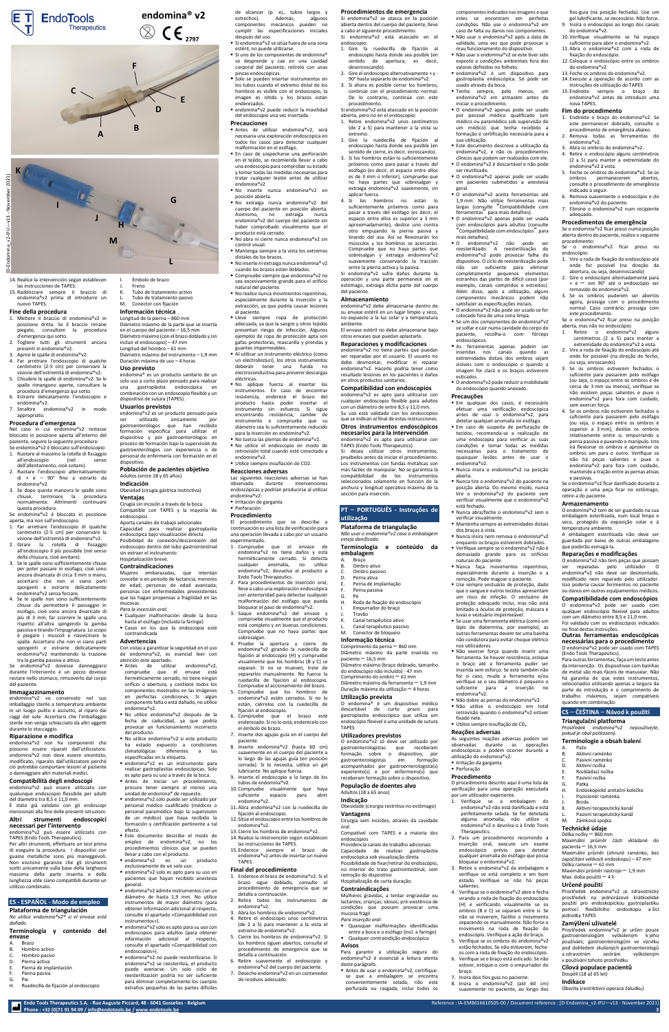**Endo Tools Therapeutics S.A. - Rue Auguste Piccard, 48 - 6041 Gosselies - Belgium** Reference : IA-EM8616610505-00 / Document reference [: \[D-Endomina\\_v2-IFU](#page-0-0)—v13 - November 2021]

**Phone : +32 (0)71 91 94 09 [/ info@endotools.be](mailto:info@endotools.be) [/ www.endotools.be](http://www.endotools.be/) 3**

14. Realice la intervención según establecen las instrucciones de TAPES.

15. Raddrizzare sempre il braccio di endomina®v2 prima di introdurre un nuovo TAPES.

#### **Fine della procedura**

- 1. Mettere il braccio di endomina®v2 in posizione dritta. Se il braccio rimane piegato, consultare la procedura d'emergenza qui sotto.
- 2. Togliere tutti gli strumenti ancora presenti in endomina®v2. 3. Aprire le spalle di endomina®v2.
- 4. Far arretrare l'endoscopio di qualche
- centimetro (2-5 cm) per conservare la visione dell'estremità di endomina®v2. 5. Chiudere le spalle di endomina®v2. Se le
- spalle rimangono aperte, consultare la procedura d'emergenza qui sotto. 6. Estrarre delicatamente l'endoscopio e
- endomina®v2. 7. Smaltire endomina®v2 in modo
- appropriato.

# **Procedura d'emergenza**

Nel caso in cui endomina®v2 restasse bloccato in posizione aperta all'interno del paziente, seguire la seguente procedura: Se endomina®v2 è bloccato sull'endoscopio

- 1. Ruotare al massimo la rotella di fissaggio all'endoscopio (nel dell'allentamento, cioè svitare).
- 2. Ruotare l'endoscopio alternativamente di + e – 90° fino a estrarlo da endomina®v2.
- 3. Se dopo questa manovra le spalle sono chiuse, terminare la procedura normalmente. Altrimenti continuare questa procedura.

Se endomina®v2 è bloccato in posizione aperta, ma non sull'endoscopio:

- 1. Far arretrare l'endoscopio di qualche centimetro (2-5 cm) per conservare la visione dell'estremità di endomina®v2.
- 2. Girare la rotella di fissaggio all'endoscopio il più possibile (nel senso della chiusura, cioè avvitare).
- 3. Se le spalle sono sufficientemente chiuse per poter passare in esofago, cioè sono ancora divaricate di circa 3 mm o meno, accertarsi che non vi siano parti sporgenti e estrarre delicatamente endomina®v2 senza forzare.
- 4. Se le spalle non sono sufficientemente chiuse da permettere il passaggio in

esofago, cioè sono ancora divaricate di più di 3 mm, far scorrere le spalle una rispetto all'altra spingendo la gamba passiva e tirando l'impugnatura. Lo scopo è piegare i muscoli e riavvicinare le spalle. Accertarsi che non vi siano parti sporgenti e estrarre delicatamente endomina®v2 mantenendo la trazione tra la gamba passiva e attiva.

Se endomina®v2 dovesse danneggiarsi durante l'intervento e un pezzo dovesse restare nello stomaco, rimuoverlo dal corpo del paziente.

#### **Immagazzinamento**

endomina®v2 va conservato nel suo imballaggio sterile a temperatura ambiente in un luogo pulito e asciutto, al riparo dai raggi del sole. Accertarsi che l'imballaggio sterile non venga schiacciato da altri oggetti durante lo stoccaggio.

#### **Riparazione e modifica**

endomina®v2 non ha componenti che possono essere riparati dall'utilizzatore. endomina®v2 non deve essere smontato, modificato, riparato dall'utilizzatore perché ciò potrebbe comportare lesioni al paziente o danneggiare altri materiali medici.

#### **Compatibilità degli endoscopi**

endomina®v2 può essere utilizzato con qualunque endoscopio flessibile per adulti del diametro tra 8,5 e 11,0 mm.

È stato già validato con gli endoscopi menzionati alla fine delle presenti istruzioni.

#### **Altri strumenti endoscopici necessari per l'intervento**

endomina®v2 può essere utilizzato con TAPES (Endo Tools Therapeutics).

Per altri strumenti, effettuare un test prima di eseguire la procedura. I dispositivi con guaine metalliche sono più maneggevoli. Non esistono garanzie che gli strumenti scelti unicamente sulla base della larghezza massima della parte inserita e della lunghezza utile siano compatibili durante un utilizzo combinato.

## **ES - ESPAÑOL - Modo de empleo**

#### **Plataforma de triangulación**

*No utilice endomina®v2® si el envase está dañado.*

#### **Terminología y contenido del envase**

- Antes de utilizar endomina®v2, compruebe que el envase está herméticamente cerrado, no tiene ningún orificio o abertura, y contiene todos los componentes mostrados en las imágenes en perfectas condiciones. Si algún componente falta o está dañado, no utilice endomina®v2.
- No utilice endomina®v2 después de la fecha de caducidad, ya que podría provocar un funcionamiento incorrecto del producto.
- No utilice endomina®v2 si este producto ha estado expuesto a condiciones climatológicas diferentes a las especificadas en la etiqueta.
- endomina®v2 es un instrumento para realizar gastroplastias endoscópicas. Solo es apto para su uso a través de la boca.
- **Antes** de iniciar un procedimiento, procure tener siempre al menos una unidad de endomina® de repuesto.
- endomina®v2 solo puede ser utilizado por personal médico cualificado (médicos o personal paramédico bajo la supervisión de un médico) que haya recibido la formación y certificación pertinente a tal efecto.
- Este documento describe el modo de empleo de endomina®v2, no los procedimientos clínicos que se pueden llevar a cabo con el producto.
- endomina®v2 es un producto exclusivamente de un solo uso.
- endomina®v2 solo es apto para su uso en pacientes que hayan recibido anestesia general.
- endomina®v2 admite instrumentos con un diámetro de hasta 1,9 mm. No utilice instrumentos de mayor diámetro (para obtener información adicional al respecto, consulte el apartado «Compatibilidad con instrumentos»).
- endomina®v2 solo es apto para su uso con endoscopios para adultos (para obtener información adicional al respecto, consulte el apartado «Compatibilidad con endoscopios»).
- endomina®v2 no puede reesterilizarse. Si endomina®v2 se reesteriliza, el producto puede averiarse. Un solo ciclo de reesterilización podría no ser suficiente para eliminar completamente los cuerpos extraños pequeños de las partes difíciles
- A. Brazo B. Hombro activo
- C. Hombro pasivo
- D. Pierna activa
- E. Pierna de implantación
- F. Pierna pasiva
- G. Pie H. Ruedecilla de fijación al endoscopio

de alcanzar (p. ej., tubos largos y<br>estrechos). Además, algunos estrechos). Además, algunos componentes mecánicos pueden no cumplir las especificaciones iniciales después del uso.

- I. Émbolo de brazo
- **Freno** K. Tubo de tratamiento activo
- 

#### L. Tubo de tratamiento pasivo<br>M. Conector con fijación Conector con fijación

#### **Información técnica** Longitud de la pierna – 860 mm

- Si endomina®v2 se sitúa fuera de una zona estéril, no puede utilizarse.
- Si uno de los componentes de endomina® se desprende y cae en una cavidad corporal del paciente, retírelo con unas pinzas endoscópicas.
- Solo se pueden insertar instrumentos en los tubos cuando el extremo distal de los hombros es visible con el endoscopio, la imagen es nítida y los brazos están enderezados.
- endomina®v2 puede reducir la movilidad del endoscopio una vez insertada.

Diámetro máximo de la parte que se inserta en el cuerpo del paciente – 16,5 mm Diámetro máximo (con el brazo doblado y sin incluir el endoscopio) – 47 mm Longitud del hombro – 61 mm Diámetro máximo del instrumento – 1,9 mm Duración máxima de uso – 4 horas

**Uso previsto**

endomina® es un producto sanitario de un solo uso a corto plazo pensado para realizar una gastroplastia endoscópica en combinación con un endoscopio flexible y un dispositivo de sutura (TAPES).

#### **Usuarios previstos**

endomina®v2 es un producto pensado para ser utilizado únicamente por gastroenterólogos que han recibido formación específica para utilizar el dispositivo y por gastroenterólogos en proceso de formación bajo la supervisión de gastroenterólogos con experiencia o de personal de enfermería con formación en el dispositivo.

**Población de pacientes objetivo** Adultos (entre 18 y 65 años)

**Indicación** Obesidad (cirugía gástrica restrictiva)

#### **Ventajas**

Cirugía sin incisión a través de la boca Compatible con TAPES y la mayoría de endoscopios

- Antes de utilizar endomina®v2, será necesaria una exploración endoscópica en todos los casos para detectar cualquier malformación en el esófago.
- En caso de sospecharse una perforación en el tejido, se recomienda llevar a cabo una endoscopia para comprobar su estado y tomar todas las medidas necesarias para tratar cualquier lesión antes de utilizar endomina®v2.
- No inserte nunca endomina®v2 en posición abierta.
- No extraiga nunca endomina®v2 del cuerpo del paciente en posición abierta. Asimismo, no extraiga nunca endomina®v2 del cuerpo del paciente sin haber comprobado visualmente que el producto está cerrado.
- No abra ni cierre nunca endomina®v2 sin control visual.
- Mantenga siempre a la vista los extremos distales de los brazos. ■ No inserte ni extraiga nunca endomina<sup>®</sup> v2
- cuando los brazos estén doblados. ■ Compruebe siempre que endomina®v2 no
- sea excesivamente grande para el orificio natural del paciente. ■ No realice nunca movimientos repentinos,
- especialmente durante la inserción y la extracción, ya que podría causar lesiones al paciente.
- Lleve siempre ropa de protección adecuada, ya que la sangre y otros tejidos presentan riesgo de infección. Algunos ejemplos de ropa de protección apta son gafas protectoras, mascarilla y prendas y guantes impermeables.
- Al utilizar un instrumento eléctrico (como un electrobisturí), los otros instrumentos deberán tener una funda no electroconductiva para prevenir descargas eléctricas.
- No aplique fuerza al insertar los instrumentos. En caso de encontrar resistencia, enderece el brazo del producto hasta poder insertar el instrumento sin esfuerzo. Si sigue encontrando resistencia, cambie de instrumento o compruebe que su diámetro sea lo suficientemente reducido para la inserción en endomina®v2.
- No tuerza las piernas de endomina®v2.
- No utilice el endoscopio en modo de retrovisión total cuando esté conectado a endomina®v2.
- Utilice siempre insuflación de CO2.

Aporta canales de trabajo adicionales Capacidad para realizar gastroplastia endoscópica bajo visualización directa Posibilidad de conexión/desconexión del endoscopio dentro del tubo gastrointestinal sin extraer el instrumento Hospitalización breve.

### **Contraindicaciones**

Mujeres embarazadas, que intentan concebir o en período de lactancia; menores de edad; personas de edad avanzada; personas con enfermedades preexistentes que las hagan propensas a fragilidad en las mucosas.

- *Para la inserción oral:*
- Cualquier malformación desde la boca hasta el esófago (incluida la faringe)
- Casos en los que la endoscopia esté contraindicada

#### **Advertencias**

Con vistas a garantizar la seguridad en el uso de endomina®v2, es esencial leer con atención este apartado.

**embalagem** A. Braço B. Ombro ativo<br>C. Ombro passi C. Ombro passivo<br>D. Perna ativa

- Perna ativa
- E. Perna de implantação Perna passiva
	-

Roda de fixação do endoscópio

- **Travão**
- 
- Canal terapêutico ativo
- L. Canal terapêutico passivo

# Conector de bloqueio

#### **Precauciones**

O endomina®v2 só deve ser utilizado por<br>gastroenterologistas que receberam gastroenterologistas que formação sobre o dispositivo, por gastroenterologistas acompanhados por gastroenterologista(s) experiente(s) e por enfermeiro(s) que receberam formação sobre o dispositivo.

■ Antes de usar o endomina®v2, certifiquese que a embalagem se encontra convenientemente selada, não está perfurada ou rasgada, inclui todos os ■ Não usar o endomina®v2 se este tiver sido exposto a condições ambientais fora dos

■ endomina®v2 é um dispositivo para gastroplastia endoscópica. Só pode ser

■ O endomina®v2 apenas pode ser usado por pessoal médico qualificado (um médico ou paramédico sob supervisão de um médico) que tenha recebido a formação e certificação necessária para a

▪ Este documento descreve a utilização da endomina®v2, e não os procedimentos clínicos que podem ser realizados com ele. ■ O endomina®v2 é descartável e não pode

■ O endomina®v2 apenas pode ser usado em pacientes submetidos a anestesia

■ O endomina®v2 aceita ferramentas até 1,9 mm. Não utilize ferramentas mais largas (consulte "Compatibilidade com ferramentas" para mais detalhes). ▪ O endomina®v2 apenas pode ser usada com endoscópios para adultos (consulte "Compatibilidade com endoscópios" para

As ferramentas apenas podem ser inseridas nos canais quando as extremidades distais dos ombros sejam visíveis com o endoscópio e quando a imagem for clara e os braços estiverem

■ O endomina®v2 pode reduzir a mobilidade do endoscópio quando anexado.

**Em qualquer dos casos, é necessário** efetuar uma verificação endoscópica antes de usar o endomina®v2, para detetar qualquer anomalia no esófago. ■ Em caso de suspeita de perfuração de tecidos, recomenda-se a realização de uma endoscopia para verificar as suas condições e tomar todas as medidas necessárias para o tratamento de quaisquer lesões antes de usar o

■ Nunca insira o endomina®v2 na posição

## **Reacciones adversas**

■ Nunca tire o endomina®v2 do paciente na posição aberta. Do mesmo modo, nunca tire o endomina®v2 do paciente sem verificar visualmente que o endomina®v2

Las siguientes reacciones adversas se han observado durante intervenciones endoscópicas y podrían producirse al utilizar endomina®v2:

- Irritación de garganta
- Perforación

■ Nunca insira nem remova o endomina®v2 enquanto os braços estiverem dobrados. ■ Verifique sempre se o endomina®v2 não é demasiado grande para os orifícios

# **Procedimiento**

El procedimiento que se describe a continuación es una lista de verificación para una operación llevada a cabo por un usuario experimentado.

> ■ Não dobre as pernas do endomina®v2. ▪ Não utilize o endoscópio em total retrovisão quando o endomina®v2 estiver

- 1. Compruebe que el envase de endomina®v2 no tiene daños y está herméticamente cerrado. Si detecta cualquier anomalía, no utilice endomina®v2; devuelva el producto a Endo Tools Therapeutics.
- 2. Para procedimientos de inserción oral, lleve a cabo una exploración endoscópica con anterioridad para detectar cualquier malformación del esófago que pueda bloquear el paso de endomina®v2. 3. Saque endomina®v2 del envase y compruebe visualmente que el producto está completo y en buenas condiciones. Compruebe que no haya partes que sobresalgan. 4. Pruebe la apertura y cierre de endomina®v2 girando la ruedecilla de fijación al endoscopio (H) y compruebe visualmente que los hombros (B y C) se separan. Si no se mueven, trate de separarlos manualmente. No fuerce la ruedecilla de fijación al endoscopio. Compruebe el accionamiento del brazo.

- 5. Compruebe que los hombros de endomina®v2 estén cerrados. Si no lo están, ciérrelos con la ruedecilla de fijación al endoscopio.
- 6. Compruebe que el brazo esté enderezado. Si no lo está, enderécelo con el émbolo de brazo.
- 7. Inserte dos agujas guía en el cuerpo del paciente.
- 8. Inserte endomina®v2 (hasta 60 cm) suavemente en el cuerpo del paciente a lo largo de las agujas guía (en posición cerrada). Si lo necesita, utilice un gel lubricante. No aplique fuerza.
- 9. Inserte el endoscopio a lo largo de los tubos de endomina®v2.
- 10. Compruebe visualmente que haya suficiente espacio para abrir endomina®v2.
- 11. Abra endomina®v2 con la ruedecilla de fijación al endoscopio.
- 12. Sitúe el endoscopio entre los hombros de endomina®v2.
- 13. Cierre los hombros de endomina®v2.
- 14. Realice la intervención según establecen las instrucciones de TAPES.
- 15. Enderece siempre el brazo de endomina®v2 antes de insertar un nuevo TAPES.

#### **Final del procedimiento**

- 1. Enderece el brazo de endomina®v2. Si el brazo sigue doblado, consulte el procedimiento de emergencia que se detalla a continuación.
- 2. Retire todos los instrumentos de endomina®v2.
- 3. Abra los hombros de endomina®v2.
- 4. Retire el endoscopio unos centímetros (de 2 a 5) para mantener a la vista el
- 5. Cierre los hombros de endomina®v2. Si los hombros siguen abiertos, consulte el procedimiento de emergencia que se detalla a continuación.
- 6. Retire suavemente el endoscopio y endomina®v2 del cuerpo del paciente.
- 7. Deseche endomina®v2 en un contenedor de residuos adecuado.

Empurrador do braço

G.<br>H.

- 
- 
- extremo de endomina®v2.
- 
- 
- 

#### **Procedimientos de emergencia**

Si endomina®v2 se atasca en la posición abierta dentro del cuerpo del paciente, lleve a cabo el siguiente procedimiento: Si endomina®v2 está atascado en el

> $\blacksquare$  Se usar uma ferramenta elétrica (como um lápis de diatermina, por exemplo), as outras ferramentas devem ter uma bainha com um diâmetro entre 8,5 e 11,0 mm. Foi validado com os endoscópios indicados no final destas instruções.

procedimiento. Si endomina®v2 está atascado en la posición

> Prostředek endomina®v2 je určen pouze gastroenterologům vyškoleným k jeho používání, gastroenterologům ve výcviku pod dohledem zkušených gastroenterologů<br>a zdravotním sestrám vyškoleným

- abierta, pero no en el endoscopio: 1. Retire endomina®v2 unos centímetros (de 2 a 5) para mantener a la vista su extremo.
- 2. Gire la ruedecilla de fijación al endoscopio hasta donde sea posible (en
- sentido de cierre, es decir, enroscando). 3. Si los hombros están lo suficientemente próximos como para pasar a través del esófago (es decir, el espacio entre ellos es de 3 mm o inferior), compruebe que no haya partes que sobresalgan y extraiga endomina®v2 suavemente, sin
- aplicar fuerza. 4. Si los hombros no están lo suficientemente próximos como para pasar a través del esófago (es decir, el espacio entre ellos es superior a 3 mm aproximadamente), deslice uno contra otro empujando la pierna pasiva y tirando del asa. Así se flexionarán los músculos y los hombros se acercarán. Compruebe que no haya partes que sobresalgan y extraiga endomina®v2 suavemente conservando la tracción entre la pierna activa y la pasiva.
- Si endomina®v2 sufre daños durante la operación y una parte permanece en el estómago, extraiga dicha parte del cuerpo del paciente.

# **endomina® v2**  $C \epsilon_{2797}$

## **Almacenamiento**

endomina®v2 debe almacenarse dentro de su envase estéril en un lugar limpio y seco, no expuesto a la luz solar y a temperatura

ambiente. El envase estéril no debe almacenarse bajo otros envases que puedan aplastarlo.

## **Reparaciones y modificaciones**

endomina®v2 no tiene partes que puedan ser reparadas por el usuario. El usuario no debe desmontar, modificar ni reparar endomina®v2. Hacerlo podría tener como resultado lesiones en los pacientes o daños en otros productos sanitarios.

#### **Compatibilidad con endoscopios**

endomina®v2 es apto para utilizarse con cualquier endoscopio flexible para adultos con un diámetro de entre 8,5 y 11,0 mm. Su uso está validado con los endoscopios que se indican al final de estas instrucciones.

**Otros instrumentos endoscópicos necesarios para la intervención**

endomina®v2 es apto para utilizarse con TAPES (Endo Tools Therapeutics).

Si desea utilizar otros instrumentos, pruébelos antes de iniciar el procedimiento. Los instrumentos con fundas metálicas son más fáciles de manipular. No se garantiza la compatibilidad de los instrumentos seleccionados solamente en función de la anchura y longitud operativa máxima de la sección para inserción.

# **PT** – **PORTUGUÊS - Instruções de**

- endoscopio: 1. Gire la ruedecilla de fijación al endoscopio hasta donde sea posible (en sentido de apertura, es decir,
- desenroscando). 2. Gire el endoscopio alternativamente + y - 90° hasta separarlo de endomina®v2.
- 3. Si ahora es posible cerrar los hombros, continúe con el procedimiento normal. De lo contrario, continúe con este usado através da boca. ▪ Tenha sempre, pelo menos, um endomina®v2 em armazém antes de

#### **utilização Plataforma de triangulação**

*Não usar o endomina®v2 caso a embalagem esteja danificada* **Terminologia e conteúdo da** 

#### **Informação técnica**

Comprimento da perna – 860 mm Diâmetro máximo da parte inserida no paciente $-16,5$  mm Diâmetro máximo (braço dobrado, tamanho do endoscópio não incluído) - 47 mm Comprimento do ombro – 61 mm Diâmetro máximo da ferramenta – 1,9 mm Duração máxima da utilização – 4 horas

#### **Utilização prevista**

O endomina® é um dispositivo médico descartável de curto prazo para gastroplastia endoscópica que utiliza um endoscópio flexível e uma unidade de sutura TAPES

#### **Utilizadores previstos**

#### **População de doentes alvo** Adultos (18 a 65 anos)

#### **Indicação**

- Obesidade (cirurgia restritiva no estômago) **Vantagens**
	- Cirurgia sem incisões, através da cavidade oral

Compatível com TAPES e a maioria dos endoscópios

Providencia canais de trabalho adicionais Capacidade de realizar gastroplastia endoscópica sob visualização direta Possibilidade de fixar/retirar do endoscópio, no interior do trato gastrointestinal, sem remoção do dispositivo

# Hospitalização de curta duração.

#### **Contraindicações**

Mulheres grávidas, a tentar engravidar ou lactantes; crianças; idosos; pré-existência de

condições que possam provocar uma

Quaisquer malformações identificadas entre a boca e o esófago (incl. a faringe) Qualquer contraindição endoscópica

mucosa frágil *Para inserção oral:*

**Avisos**

Para garantir a utilização segura do endomina®v2 é essencial a leitura atenta

deste parágrafo.

componentes indicados nas imagens e que estes se encontram em perfeitas condições. Não use o endomina®v2 em caso de falta ou danos nos componentes.

▪ Não usar o endomina®v2 após a data de validade, uma vez que pode provocar o mau funcionamento do dispositivo.

valores definidos no folheto.

iniciar o procedimento.

sua utilização.

ser reutilizado.

geral.

mais detalhes).

▪ O endomina®v2 não pode ser reesterilizado. A reesterilização do endomina®v2 pode provocar falha do dispositivo. O ciclo de reesterilização pode não ser suficiente para eliminar completamente pequenos elementos estranhos das partes de difícil cesso (por exemplo, canais compridos e estreitos). Além disso, após a utilização, alguns componentes mecânicos podem não satisfazer as especificações iniciais. ■ O endomina®v2 não pode ser usado se for colocado fora de uma zona limpa. ■ Se um dos componentes do endomina®v2 se soltar e cair numa cavidade do corpo do paciente, recolha-o com fórceps

endoscópicos.

esticados.

**Precauções**

endomina®v2.

aberta.

está fechado.

▪ Nunca abra/feche o endomina®v2 sem o

■ Mantenha sempre as extremidades distais

verificar visualmente.

dos braços à vista.

naturais do paciente.

▪ Nunca faça movimentos repentinos, especialmente durante a inserção e a remoção. Pode magoar o paciente. ▪ Use sempre vestuário de proteção, dado que o sangue e outros tecidos apresentam um risco de infeção. O vestuário de

#### proteção adequado inclui, mas não está limitado a óculos de proteção, máscara e luvas e vestuário impermeável.

não condutora para evitar choque elétrico

nos utilizadores.

▪ Não exercer força quando inserir uma ferramenta. Se houver resistência, estique o braço até a ferramenta puder ser inserida sem esforço. Se este também não for o caso, mude a ferramenta e/ou verifique se o seu diâmetro é pequeno o suficiente para a inserção no

endomina®v2.

fixado nele.

**Reações adversas**

As seguintes reações adversas podem ser observadas durante as operações endoscópicas e podem ocorrer durante a

utilização do endomina®v2: ▪ Irritação da garganta ■ Perfuração **Procedimento**

O procedimento descrito aqui é uma lista de verificação para uma operação executada

por um utilizador experiente.

1. Verifique se a embalagem do endomina®v2 não está danificada e está perfeitamente selada. Se for detetada alguma anomalia, não utilize o endomina®v2 e devolva-o à Endo Tools

Therapeutics.

2. Para um procedimento recorrendo a inserção oral, execute um exame endoscópico prévio para detetar qualquer anomalia do esófago que possa

bloquear o endomina®v2.

Utilize sempre insuflação de C02.

3. Retire o endomina®v2 da embalagem e verifique se está completo e em bom estado. Verifique se não há peças

salientes.

4. Verifique se o endomina®v2 abre e fecha virando a roda de fixação do endoscópio (H) e verificando visualmente se os ombros (B e C) se separam entre si. Se não se moverem, facilite o movimento separando-os manualmente. Não force o movimento na roda de fixação do endoscópio. Verifique a ação do braço. 5. Verifique se os ombros do endomina®v2 estão fechados. Se não estiverem, fecheos com a roda de fixação do endoscópio. 6. Verifique se o braço está esticado. Se não estiver, estique-o com o empurrador do

braço.

7. Insira dois fios guia no paciente. 8. Insira o endomina®v2 (até 60 cm) suavemente no paciente, ao longo dos

fios-guia (na posição fechada). Use um gel lubrificante, se necessário. Não force. 9. Insira o endoscópio ao longo dos canais

do endomina®v2.

10. Verifique visualmente se há espaço suficiente para abrir o endomina®v2. 11. Abra o endomina®v2 com a roda de

fixação do endoscópio.

12. Coloque o endoscópio entre os ombros

do endomina®v2.

13. Feche os ombros do endomina®v2. 14. Execute a operação de acordo com as Instruções de utilização do TAPES 15. Endireite sempre o braço do endomina®v2 antes de introduzir uma

nova TAPES. **Fim do procedimento**

1. Endireite o braço do endomina®v2. Se este permanecer dobrado, consulte o procedimento de emergência abaixo. 2. Remova todas as ferramentas do

endomina®v2.

3. Abra os ombros do endomina®v2. 4. Retire o endoscópio alguns centímetros (2 a 5) para manter a extremidade do

endomina®v2 à vista.

5. Feche os ombros do endomina®v2. Se os ombros permanecerem abertos, consulte o procedimento de emergência

indicado a seguir.

6. Remova suavemente o endoscópio e do endomina®v2 do paciente. 7. Elimine o endomina®v2 num recipiente

adequado.

**Procedimentos de emergência** Se o endomina®v2 ficar preso numa posição aberta dentro do paciente, realize o seguinte

procedimento:

Se o endomina®v2 ficar preso no

endoscópio:

1. Vire a roda de fixação do endoscópio até onde for possível (na direção da abertura, ou seja, desenroscando) 2. Gire o endoscópio alternadamente para + e – em 90° até o endoscópio ser

removido do endomina®v2. 3. Se os ombros puderem ser abertos agora, prossiga com o procedimento normal. Caso contrário, prossiga com

este procedimento.

Se o endomina®v2 ficar preso na posição

aberta, mas não no endoscópio:

1. Retire o endomina®v2 alguns centímetros (2 a 5) para manter a extremidade do endomina®v2 à vista. 2. Vire a roda de fixação do endoscópio até onde for possível (na direção do fecho,

ou seja, enroscando).

sem exercer forca.

3. Se os ombros estiverem fechados o suficiente para passarem pelo esófago (ou seja, o espaço entre os ombros é de cerca de 3 mm ou menos), verifique se não existem peças salientes e puxe o endomina®v2 para fora com cuidado,

4. Se os ombros não estiverem fechados o suficiente para passarem pelo esófago (ou seja, o espaço entre os ombros é superior a 3 mm), deslize os ombros relativamente entre si, empurrando a perna passiva e puxando o manípulo. Isto irá flexionar os ombros e aproximar os ombros um para o outro. Verifique se não há peças salientes e puxe o endomina®v2 para fora com cuidado, mantendo a tração entre as pernas ativas

e passivas.

Se o endomina®v2 ficar danificado durante a operação e uma peça ficar no estômago,

retire-a do paciente. **Armazenamento**

O endomina®v2 tem de ser guardado na sua embalagem esterilizada, num local limpo e seco, protegido da exposição solar e à

temperatura ambiente.

A embalagem esterilizada não deve ser guardada por baixo de outras embalagens

que poderão esmagá-la.

**Reparações e modificações** O endomina®v2 não tem peças que possam ser reparadas pelo utilizador. O endomina®v2 não deve ser desmontado, modificado nem reparado pelo utilizador. Isso poderia causar ferimentos no paciente ou danos em outros equipamentos médicos. **Compatibilidade com endoscópios** O endomina®v2 pode ser usado com qualquer endoscópio flexível para adultos

#### **Outras ferramentas endoscópicas necessárias para o procedimento**

O endomina®v2 pode ser usado com TAPES (Endo Tools Therapeutics).

Para outras ferramentas, faça um teste antes da intervenção. Os dispositivos com bainhas de metal são mais fáceis de manusear. Não há garantia de que estes instrumentos, selecionados utilizando apenas a largura da parte de introdução e o comprimento de trabalho máximos, sejam compatíveis quando em combinação.

### **CS** – **ČEŠTINA** – **Návod k použití**

#### **Triangulační platforma** *Prostředek endomina®v2 nepoužívejte, pokud je obal poškozený.*

Endoskopické aretační kolečko Pozicionér raménka

#### **Terminologie a obsah balení**

A. Paže

G. Patka

**Brzda** 

M. Zámková spojka **Technické údaje** Délka nožky – 860 mm

pacienta  $-16,5$  mm

Maximální průměr části vkládané do

Maximální průměr (ohnuté raménko, bez započítání velikosti endoskopu) – 47 mm

Délka ramene – 61 mm

Maximální průměr nástroje – 1,9 mm

Aktivní terapeutický kanál Pasivní terapeutický kanál

Max. doba použití – 4 h **Určené použití**

Prostředek endomina®v2 je zdravotnický prostředek na jednorázové krátkodobé použití pro endoskopickou gastroplastiku pomocí flexibilního endoskopu a šicí

jednotky TAPES **Zamýšlení uživatelé**

- Aktivní raménko
- C. Pasivní raménko
- D. Aktivní nožka E. Rozkládací nožka Pasivní nožka

v používání tohoto prostředku **Cílová populace pacientů**

Dospělí (18 až 65 let) **Indikace**

vyškoleným

Obezita (restriktivní operace žaludku)

**J**

**G**

**L**

**M**

**H**

**I**



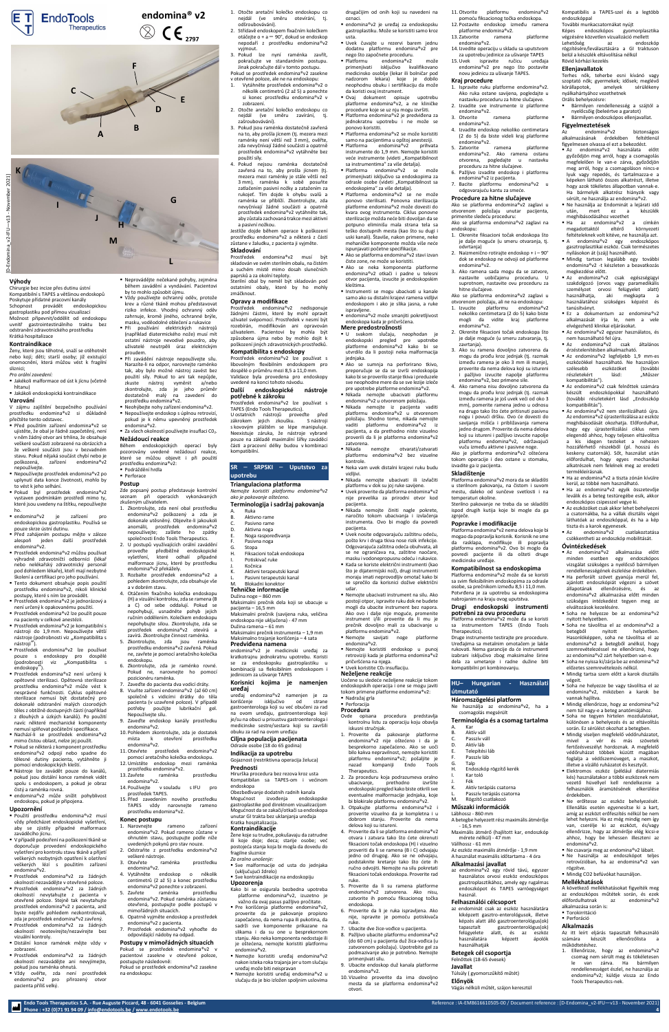**Endo Tools Therapeutics S.A. - Rue Auguste Piccard, 48 - 6041 Gosselies - Belgium** Reference : IA-EM8616610505-00 / Document reference [: \[D-Endomina\\_v2-IFU](#page-0-0)—v13 - November 2021]

**Phone : +32 (0)71 91 94 09 [/ info@endotools.be](mailto:info@endotools.be) [/ www.endotools.be](http://www.endotools.be/) 4**

#### **Výhody**

Chirurgie bez incize přes dutinu ústní Kompatibilní s TAPES a většinou endoskopů Poskytuje přídatné pracovní kanály Schopnost provádět endoskopickou gastroplastiku pod přímou vizualizací Možnost připevnit/oddělit od endoskopu uvnitř gastrointestinálního traktu bez odstranění zdravotnického prostředku Krátká hospitalizace

#### **Kontraindikace**

Ženy, které jsou těhotné, snaží se otěhotnět nebo kojí; děti; starší osoby; již existující onemocnění, která můžou vést k fragilní sliznici;

#### *Pro orální zavedení:*

▪ Jakékoli malformace od úst k jícnu (včetně hltanu)

# ▪ Jakákoli endoskopická kontraindikace

# **Varování**

V zájmu zajištění bezpečného používání prostředku endomina®v2 si důkladně přečtěte tento odstavec.

- Před použitím zařízení endomina®v2 se ujistěte, že obal je řádně zapečetěný, není v něm žádný otvor ani trhlina, že obsahuje veškeré součásti zobrazené na obrázcích a že veškeré součásti jsou v bezvadném stavu. Pokud nějaká součást chybí nebo je poškozená, zařízení endomina®v2 nepoužívejte.
- Nepoužívejte prostředek endomina®v2 po uplynutí data konce životnosti, mohlo by to vést k jeho selhání.
- Pokud byl prostředek endomina®v2 vystaven podmínkám prostředí mimo ty, které jsou uvedeny na štítku, nepoužívejte ho.
- endomina®v2 je zařízení pro endoskopickou gastroplastiku. Používá se pouze skrze ústní dutinu.
- Před zahájením postupu mějte v záloze alespoň jeden další prostředek endomina®v2.
- Prostředek endomina®v2 můžou používat výhradně zdravotničtí odborníci (lékař nebo nelékařský zdravotnický personál pod dohledem lékaře), kteří mají nezbytné školení a certifikaci pro jeho používání. ▪ Tento dokument obsahuje popis použití

prostředku endomina®v2, nikoli klinické postupy, které s ním lze provádět.

- **· Vždy používejte ochranný oděv, protože** krev a různé tkáně mohou představovat riziko infekce. Vhodný ochranný oděv zahrnuje, kromě jiného, ochranné brýle. masku, voděodolné oblečení a rukavice
- Při používání elektrických nástrojů (například diatermického nože) musí mít ostatní nástroje nevodivé pouzdro, aby uživatelé neutrpěli úraz elektrickým proudem.
- Při zavádění nástroje nepoužívejte sílu. Narazíte-li na odpor, narovnejte raménko tak, aby bylo možné nástroj zavést bez použití síly. Pokud to ani tak nepůjde, zkuste nástroj vyměnit a/nebo zkontrolujte, zda je jeho průměr dostatečně malý na zavedení do prostředku endomina®v2.
- Neohýbejte nohy zařízení endomina®v2.
- Nepoužívejte endoskop s úplnou retrovizí, pokud je k němu upevněný prostředek endomina®v2.

#### ■ Za všech okolností používejte insuflaci C02. **Nežádoucí reakce**

- Prostředek endomina®v2 je jednorázový a není určený k opakovanému použití. ■ Prostředek endomina®v2 lze použít pouze
- na pacienty v celkové anestézii. ▪ Prostředek endomina®v2 je kompatibilní s nástroji do 1,9 mm. Nepoužívejte větší nástroje (podrobnosti viz "Kompatibilita s
- nástroji"). ■ Prostředek endomina®v2 lze používat pouze s endoskopy pro dospělé<br>(podrobnosti viz "Kompatibilita s viz "Kompatibilita endoskopy").
- Prostředek endomina®v2 není určený k opětovné sterilizaci. Opětovná sterilizace prostředku endomina®v2 může vést k nesprávné funkčnosti. Cyklus opětovné sterilizace nemusí být dostatečný pro dokonalé odstranění malých cizorodých těles z obtížně dostupných částí (například z dlouhých a úzkých kanálů). Po použití navíc některé mechanické komponenty nemusí splňovat počáteční specifikace.
- Nachází-li se prostředek endomina®v2 mimo čistou oblast, nelze jej použít.
- Pokud se některá z komponent prostředku endomina®v2 odpojí nebo spadne do tělesné dutiny pacienta, vytáhněte ji pomocí endoskopických kleští.
- Nástroje lze zavádět pouze do kanálů, pokud jsou distální konce ramének vidět spolu s endoskopem, a pokud je obraz čistý a raménka rovná.
- endomina®v2 může snížit pohyblivost endoskopu, pokud je připojena.
- Podráždění hrdla
- Perforace

- 1. Zkontrolujte, zda není obal prostředku endomina®v2 poškozený a zda je dokonale utěsněný. Objevíte-li jakoukoli anomálii, prostředek endomina®v2 nepoužívejte; zašlete ho zpátky společnosti Endo Tools Therapeutics.
- 2. U postupů využívajících orální zavádění předběžné endoskopické vyšetření, které odhalí případné malformace jícnu, které by prostředku endomina®v2 překážely.
- 3. Rozbalte prostředek endomina®v2 a pohledem zkontrolujte, zda obsahuje vše a v dobrém stavu.
- 4. Otáčením fixačního kolečka endoskopu (H) a vizuální kontrolou, zda se ramena (B ad sebe oddalují. Pokud

#### **Upozornění**

- Použití prostředku endomina®v2 musí vždy předcházet endoskopické vyšetření, aby se zjistily případné malformace zaváděcího jícnu.
- V případě podezření na poškození tkáně se doporučuje provedení endoskopického vyšetření pro kontrolu stavu tkáně a přijetí veškerých nezbytných opatření k ošetření veškerých lézí s použitím zařízení endomina®v2.
- Prostředek endomina®v2 za žádných okolností nezavádějte v otevřené poloze.
- Prostředek endomina®v2 za žádných okolností nevytahujte z pacienta v otevřené poloze. Stejně tak nevytahujte prostředek endomina®v2 z pacienta, aniž byste nejdřív pohledem nezkontrolovali, zda je prostředek endomina®v2 zavřený.
- Prostředek endomina®v2 za žádných okolností neotevírejte/nezavírejte bez vizuální kontroly.
- Distální konce ramének mějte vždy v zobrazení.
- Prostředek endomina®v2 za žádných okolností nezavádějte ani nevyjímejte, pokud jsou raménka ohnutá.
- Vždy ověřte, zda není prostředek endomina®v2 pro přirozený otvor pacienta příliš velký.

▪ Neprovádějte nečekané pohyby, zejména během zavádění a vyndávání. Pacientovi by to mohlo způsobit újmu.

Během endoskopických operací byly pozorovány uvedené nežádoucí reakce, které se můžou objevit i při použití prostředku endomina®v2:

**Postup** Zde popsaný postup představuje kontrolní seznam při operacích vykonávaných zkušeným uživatelem.

#### Blokadni konektor **Tehničke informacije**

uređaj endomina®v2 namenjen je za<br>korišćenje isključivo od strane isključivo gastroenterologa koji su već obučeni za rad na ovom uređaju, gastroenterologa koji je/su na obuci u prisustvu gastroenterologa i medicinske sestre/sestara koji su završili obuku za rad na ovom uređaju

nepohybují, usnadněte pohyb jejich ručním oddělením. Kolečkem endoskopu nepohybujte silou. Zkontrolujte, zda se prostředek endomina®v2 otevírá a zavírá. Zkontrolujte činnost raménka.

- 5. Zkontrolujte, zda jsou raménka prostředku endomina®v2 zavřená. Pokud ne, zavřete je pomocí aretačního kolečka endoskopu.
- Zkontrolujte, zda je raménko rovné. Pokud ne, narovnejte ho pomocí pozicionéru raménka.
- 7. Zaveďte do pacienta dva vodicí dráty.
- 8. Vsuňte zařízení endomina®v2 (až 60 cm) společně s vidicími drátky do těla pacienta (v uzavřené poloze). V případě potřeby použijte lubrikační gel. Nepoužívejte sílu.
- 9. Zaveďte endoskop kanály prostředku endomina®v2.
- 10. Pohledem zkontrolujte, zda je dostatek místa k otevření prostředku endomina®v2.
- 11.Otevřete prostředek endomina®v2 pomocí aretačního kolečka endoskopu. 12.Umístěte endoskop mezi raménka
- prostředku endomina®v2.
- 13. Zavřete raménka prostředku endomina®v2. 14. Používejte v souladu s IFU pro
- prostředek TAPES. 15. Před zavedením nového prostředku
- TAPES vždy narovnejte rameno prostředku endomina®v2.

#### **Konec postupu**

- 1. Narovnejte rameno zařízení endomina®v2. Pokud rameno zůstane v ohnutém stavu, postupujte podle níže uvedených pokynů pro stav nouze.
- 2. Odstraňte z prostředku endomina®v2 veškeré nástroje.
- 3. Otevřete raménka prostředku endomina®v2.<br>4. Vytáhněte (
- endoskop o několik centimetrů (2 až 5) a konec prostředku endomina®v2 ponechte v zobrazení.
- 5. Zavřete raménka prostředku endomina®v2. Pokud raménka zůstanou otevřená, postupujte podle postupů v mimořádných situacích.
- 6. Opatrně vyjměte endoskop a prostředek endomina®v2 z pacienta.
- 7. Prostředek endomina®v2 vyhoďte do odpovídající nádoby na odpad.

#### **Postupy v mimořádných situacích**

- Pokud se prostředek endomina®v2 v pacientovi zasekne v otevřené poloze, postupujte následovně: Pokud se prostředek endomina®v2 zasekne
- na endoskopu:

#### pričvršćena na njega. Uvek koristite C02 insuflaciju.

#### ■ Nadražaj grla ▪ Perforacija

- 1. Otočte aretační kolečko endoskopu co nejdál (ve směru otevírání, tj. odšroubovávání).
- 2. Střídavě endoskopem fixačním kolečkem otáčejte o + a – 90°, dokud se endoskop nepodaří z prostředku endomina®v2 vyjmout.
- 3. Pokud lze nyní raménka zavřít, pokračujte ve standardním postupu. Jinak pokračujte dál v tomto postupu. Pokud se prostředek endomina®v2 zasekne
- v otevřené poloze, ale ne na endoskopu: 1. Vytáhněte prostředek endomina®v2 o
- několik centimetrů (2 až 5) a ponechte si konec prostředku endomina®v2 v zobrazení.
- 2. Otočte aretační kolečko endoskopu co nejdál (ve směru zavírání, tj. zašroubovávání).
- 3. Pokud jsou raménka dostatečně zavřená na to, aby prošla jícnem (tj. mezera mezi raménky není větší než 3 mm), ověřte, zda nevyčnívají žádné součásti a opatrně prostředek endomina®v2 vytáhněte bez použití síly.
- 4. Pokud nejsou raménka dostatečně zavřená na to, aby prošla jícnem (ti. mezera mezi raménky je stále větší než 3 mm), raménka k sobě posuňte zatlačením pasivní nožky a zatažením za rukojeť. Tím dojde k ohybu svalů a raménka se přiblíží. Zkontrolujte, zda nevyčnívají žádné součásti a opatrně prostředek endomina®v2 vytáhněte tak, aby zůstala zachovaná trakce mezi aktivní a pasivní nožkou.

Jestliže dojde během operace k poškození prostředku endomina®v2 a některá z částí zůstane v žaludku, z pacienta ji vyjměte.

## **Skladování**

Prostředek endomina®v2 musí být skladován ve svém sterilním obalu, na čistém a suchém místě mimo dosah slunečních paprsků a za okolní teploty.

Sterilní obal by neměl být skladován pod ostatními obaly, které by ho mohly zmáčknout.

#### **Opravy a modifikace**

Prostředek endomina®v2 nedisponuje žádnými částmi, které by mohl opravit uživatel svépomocí. Prostředek v nesmí být rozebírán, modifikován ani opravován uživatelem. Pacientovi by mohla být způsobena újma nebo by mohlo dojít k poškození jiných zdravotnických prostředků.

### **Kompatibilita s endoskopy**

Prostředek endomina®v2 lze používat s libovolným flexibilním endoskopem pro dospělé o průměru mezi 8,5 a 11,0 mm. Validace byla provedena pro endoskopy uvedené na konci tohoto návodu.

#### **Další endoskopické nástroje potřebné k zákroku**

Prostředek endomina®v2 lze používat s TAPES (Endo Tools Therapeutics). U ostatních nástrojů proveďte před zákrokem jejich zkoušku. S nástroji s kovovým pláštěm se lépe manipuluje.

Neexistuje záruka, že nástroje vybrané pouze na základě maximální šířky zaváděcí části a pracovní délky budou v kombinaci kompatibilní.

# **SR** – **SRPSKI** – **Uputstvo za upotrebu**

# **Triangulaciona platforma**

*Nemojte koristiti platformu endomina®v2 ako je pakovanje oštećeno.*

# **Terminologija i sadržaj pakovanja**

- A. Ruka<br>B. Aktiv Aktivno rame
- C. Pasivno rame<br>D. Aktivna noga
- D. Aktivna noga
- E. Noga raspoređivanja
- Pasivna noga
- G. Stopa<br>H. Fiksac Fiksacioni točak endoskopa
	- Potiskivač ruke
	- Kočnica
- Aktivni terapeutski kanal
- Pasivni terapeutski kanal

Dužina noge – 860 mm Maksimalni prečnik dela koji se ubacuje u

#### pacijenta – 16,5 mm

Maksimalni prečnik (savijena ruka, veličina endoskopa nije uključena) - 47 mm Dužina ramena – 61 mm

Maksimalni prečnik instrumenta – 1,9 mm Maksimalno trajanje korišćenja – 4 sata

#### **Predviđena namena**

endomina®v2 je medicinski uređaj za kratkotrajnu jednokratnu upotrebu. Koristi se za endoskopsku gastroplastiku u kombinaciji sa fleksibilnim endoskopom i jedinicom za ušivanje TAPES

#### **Korisnici kojima je namenjen uređaj**

#### **Ciljna populacija pacijenata** Odrasle osobe (18 do 65 godina)

#### **Indikacija za upotrebu**

Gojaznost (restriktivna operacija želuca) **Prednosti**

#### Hirurška procedura bez rezova kroz usta Kompatibilan sa TAPES-om i većinom endoskopa

Obezbeđivanje dodatnih radnih kanala izvođenja endoskopske gastroplastike pod direktnom vizualizacijom Mogućnost da se zakači/otkači sa endoskopa unutar GI trakta bez uklanjanja uređaja Kratka hospitalizacija.

#### **Kontraindikacije**

Žene koje su trudne, pokušavaju da zatrudne ili koje doje; deca; starije osobe; već postojeća stanja koja bi mogla da dovedu do fragilne sluznice

#### *Za oralno unošenje:*

▪ Ez a dokumentum az endomina®v2 alkalmazását írja le, nem a vele elvégezhető klinikai eljárásokat. ■ Az endomina®v2 egyszer használatos, és

- Sve malformacije od usta do jednjaka (uključujući ždrelo)
- Sve kontraindikacije na endoskopiju **Upozorenja**
- Kako bi se osigurala bezbedna upotreba platforme endomina®v2, izuzetno je važno da ovaj pasus pažljivo pročitate.
- Pre korišćenja platforme endomina®v2, proverite da je pakovanje propisno zapečaćeno, da nema rupa ili pukotina, da sadrži sve komponente prikazane na slikama i da su one u besprekornom stanju. Ako neka komponenta nedostaje ili je oštećena, nemojte koristiti platformu endomina®v2.
- Nemojte koristiti uređaj endomina®v2 nakon isteka roka trajanja jer u tom slučaju uređaj može biti neispravan
- Nemojte koristiti uređaj endomina®v2 u slučaju da je bio izložen spoljnim uslovima

▪ Az endomina®v2 csak felnőttek számára készült endoszkópokkal használható (további részletekért lásd "Endoszkóp

drugačijim od onih koji su navedeni na oznaci.

> ■ Az endomina®v2 nem sterilizálható újra. Az endomina®v2 újrasterilizálása az eszköz meghibásodását okozhatja. Előfordulhat, hogy egy újrasterilizálási ciklus nem elegendő ahhoz, hogy teljesen eltávolítsa a kis idegen testeket a nehezen hozzáférhető részekből (pl. hosszú és keskeny csatornák). Sőt, használat után előfordulhat, hogy egyes mechanikai alkatrészek nem felelnek meg az eredeti

> ■ Ha az endomina®v2 a tiszta zónán kívülre kerül, az többé nem használható. ■ Ha az endomina®v2 egyik összetevője leválik és a beteg testüregébe esik, akkor endoszkópos csipesszel vegye ki. ■ Az eszközöket csak akkor lehet behelyezni a csatornákba, ha a vállak disztális végei láthatóak az endoszkóppal, és ha a kép

> ■ Az endomina®v2 alkalmazása előtt minden esetben egy endoszkópos vizsgálat szükséges a nyelőcső bármilyen rendellenességének észlelése érdekében. ▪ Ha perforált szövet gyanúja merül fel, ajánlott endoszkópiát végezni a szövet állapotának ellenőrzésére, és az endomina®v2 alkalmazása előtt minden szükséges intézkedést tegyen meg az

> ■ Soha ne helyezze be az endomina®v2

- endomina®v2 je uređaj za endoskopsku gastroplastiku. Može se koristiti samo kroz usta.
- Uvek čuvajte u rezervi barem jednu dodatnu platformu endomina®v2 pre nego što započnete proceduru.
- Platformu endomina®v2 može<br>primenjivati isključivo kvalifikovano isključivo kvalifikovano medicinsko osoblje (lekar ili bolničar pod nadzorom lekara) koje je dobilo neophodnu obuku i sertifikaciju da može da koristi ovaj instrument.
- Ovaj dokument opisuje upotrebu platforme endomina®v2, a ne kliničke procedure koje se uz nju mogu izvršiti.
- Platforma endomina®v2 je predviđena za jednokratnu upotrebu i ne može se ponovo koristiti. 3. Otvorite ramena platforme 4. Izvadite endoskop nekoliko centimetara
- Platforma endomina®v2 se može koristiti
- samo na pacijentima u opštoj anesteziji. ▪ Platforma endomina®v2 prihvata instrumente do 1,9 mm. Nemojte koristiti veće instrumente (videti "Kompatibilnost
- sa instrumentima" za više detalja). ■ Platforma endomina®v2 se može primenjivati isključivo sa endoskopima za odrasle osobe (videti "Kompatibilnost sa endoskopima" za više detalja).
- Platforma endomina®v2 se ne može ponovo sterilisati. Ponovna sterilizacija platforme endomina®v2 može dovesti do kvara ovog instrumenta. Ciklus ponovne sterilizacije možda neće biti dovoljan da se potpuno eliminišu mala strana tela sa teško dostupnih mesta (kao što su dugi i uski kanali). Štaviše, nakon primene, neke mehaničke komponente možda više neće ispunjavati početne specifikacije.
- Ako se platforma endomina®v2 stavi izvan čiste zone, ne može se koristiti.
- Ako se neka komponenta platforme endomina®v2 otkači i padne u telesni otvor pacijenta, izvucite je endoskopskim kleštima. ▪ Instrumenti se mogu ubacivati u kanale
- samo ako su distalni krajevi ramena vidljivi endoskopom i ako je slika jasna, a ruke ispravliene.
- endomina®v2 može smanjiti pokretljivost endoskopa kada je pričvršćena.

■ Mindig ellenőrizze, hogy az endomina®v2 nem túl nagy-e a beteg anatómiájához. ▪ Soha ne tegyen hirtelen mozdulatokat, különösen a behelyezés és az eltávolítás során. Ez sérülést okozhat a betegben. ▪ Mindig viseljen megfelelő védőruházatot, mivel a vér és más szövetek fertőzésveszélyt hordoznak. A megfelelő védőruházat többek küzütt magában foglalja a védőszemüveget, a maszkot, illetve a vízálló ruházatot és kesztyűt. ▪ Elektromos eszköz (például diatermiás kés) használatakor a többi eszköznek nem vezető hüvellyel kell rendelkeznie a felhasználók áramütésének elkerülése

■ Ne csavarja meg az endomina®v2 lábait. ▪ Ne használja az endoszkópot teljes retrovízióban, ha az endomina®v2 van

Az itt leírt eljárás tapasztalt felhasználó számára készült ellenőrzőlista

**endomina® v2**  $C \epsilon_{2797}$ 

#### **Mere predostrožnosti** ▪ U svakom slučaju, neophodan je

- endoskopski pregled pre upotrebe platforme endomina®v2 kako bi se utvrdilo da li postoji neka malformacija jednjaka. ▪ Ako se sumnja na perforirano tkivo, preporučuje se da se izvrši endoskopija kako bi se proverilo stanje tkiva i preduzele
- sve neophodne mere da se sve lezije izleče pre upotrebe platforme endomina®v2. ▪ Nikada nemojte ubacivati platformu
- endomina®v2 u otvorenom položaju. ▪ Nikada nemojte iz pacijenta vaditi platformu endomina®v2 u otvorenom položaju. Shodno tome, nikada nemojte vaditi platformu endomina®v2 iz pacijenta, a da prethodno niste vizuelno proverili da li je platforma endomina®v2 zatvorena.
- Nikada nemojte otvarati/zatvarati platformu endomina®v2 bez vizuelne
- kontrole. ▪ Neka vam uvek distalni krajevi ruku budu vidliivi.
- Nikada nemojte ubacivati ili izvlačiti platformu v dok su joj ruke savijene.
- Uvek proverite da platforma endomina®v2 nije prevelika za prirodni otvor kod
- pacijenta. ▪ Nikada nemojte činiti nagle pokrete, naročito tokom ubacivanja i izvlačenja instrumenta. Ovo bi moglo da povredi
- pacijenta. ▪ Uvek nosite odgovarajuću zaštitnu odeću, pošto krv i druga tkiva nose rizik infekcije. Odgovarajuća zaštitna odeća obuhvata, ali se ne ograničava na, zaštitne naočare,
- masku i vodonepropusnu odeću i rukavice. ■ Kada se koriste električni instrumenti (kao što je dijatermijski nož), drugi instrumenti moraju imati neprovodljiv omotač kako bi se sprečilo da korisnici dožive električni udar.
- Nemoite ubacivati instrument na silu. Ako postoji otpor, ispravite ruku dok ne budete

mogli da ubacite instrument bez napora. Ako ovo i dalje nije moguće, promenite instrument i/ili proverite da li mu je prečnik dovoljno mali za ubacivanje u platformu endomina®v2.

- Nemojte savijati noge platforme endomina®v2.
- Nemojte koristiti endoskop u punoj retroviziji kada je platforma endomina®v2

#### **Neželjene reakcije**

Uočene su sledeće neželjene reakcije tokom endoskopskih operacija i one se mogu javiti tokom primene platforme endomina®v2:

**Procedura**

# Ovde opisana procedura predstavlja

- kontrolnu listu za operaciju koju obavlja iskusni stručnjak. 1. Proverite da pakovanje platforme endomina®v2 nije oštećeno i da je besprekorno zapečaćeno. Ako se uoči bilo kakva nepravilnost, nemojte koristiti platformu endomina®v2; pošaljite je nazad kompaniji Endo Tools Therapeutics.
- 2. Za proceduru koja podrazumeva oralno ubacivanje, prethodno izvršite endoskopski pregled kako biste otkrili sve eventualne malformacije jednjaka, koje bi blokirale platformu endomina®v2.
- 3. Otpakujte platformu endomina®v2 i proverite vizuelno da je kompletna i u dobrom stanju. Proverite da nema delova koji su istureni.
- 4. Proverite da li se platforma endomina®v2 otvara i zatvara tako što ćete okrenuti fiksacioni točak endoskopa (H) i vizuelno proveriti da li se ramena (B i C) odvajaju jedno od drugog. Ako se ne odvajaju, podstaknite kretanje tako što ćete ih ručno odvojiti. Nemojte na silu pokretati fiksacioni točak endoskopa. Proverite rad ruke.
- 5. Proverite da li su ramena platforme endomina®v2 zatvorena. Ako nisu, zatvorite ih pomoću fiksacionog točka endoskopa.
- 6. Proverite da li je ruka ispravljena. Ako nije, ispravite je pomoću potiskivača ruke.
- 7. Ubacite dve žice-vođice u pacijenta.
- 8. Pažljivo ubacite platformu endomina®v2 (do 60 cm) u pacijenta duž žica-vođica (u zatvorenom položaju). Upotrebite gel za podmazivanje ako je potrebno. Nemojte primenjivati silu.
- 9. Ubacite endoskop duž kanala platforme endomina®v2.
- 10. Vizuelno proverite da ima dovolino mesta da se platforma endomina®v2 otvori.

11.Otvorite platformu endomina®v2 pomoću fiksacionog točka endoskopa.

- 12. Postavite endoskop između ramena platforme endomina®v2.
- 13. Zatvorite ramena platforme endomina®v2.
- 14. Izvedite operaciju u skladu sa uputstvom za upotrebu jedinice za ušivanje TAPES
- 15.Uvek ispravite ručicu uređaja endomina®v2 pre nego što postavite novu jedinicu za ušivanje TAPES.

**Kraj procedure**

1. Ispravite ruku platforme endomina®v2. Ako ruka ostane savijena, pogledajte u nastavku proceduru za hitne slučajeve. 2. Izvadite sve instrumente iz platforme

endomina®v2.

endomina®v2.

(2 do 5) da biste videli kraj platforme

endomina®v2.

5. Zatvorite ramena platforme endomina®v2. Ako ramena ostanu otvorena, pogledajte u nastavku

proceduru za hitne slučajeve. 6. Pažljivo izvadite endoskop i platformu endomina®v2 iz pacijenta.

7. Bacite platformu endomina®v2 u odgovarajuću kantu za smeće. **Procedure za hitne slučajeve** Ako se platforma endomina®v2 zaglavi u otvorenom položaju unutar pacijenta,

primenite sledeću proceduru:

Ako se platforma endomina®v2 zaglavi na

endoskopu:

1. Okrenite fiksacioni točak endoskopa što je dalje moguće (u smeru otvaranja, tj.

odvrtanja)

2. Naizmenično rotirajte endoskop + i – 90° dok se endoskop ne odvoji od platforme

endomina®v2.

3. Ako ramena sada mogu da se zatvore, nastavite uobičajenu proceduru. U suprotnom, nastavite ovu proceduru za

hitne slučajeve.

Ako se platforma endomina®v2 zaglavi u otvorenom položaju, ali ne na endoskopu: 1. Izvucite platformu endomina®v2 nekoliko centimetara (2 do 5) kako biste mogli da vidite kraj platforme

endomina®v2.

2. Okrenite fiksacioni točak endoskopa što je dalje moguće (u smeru zatvaranja, tj.

3. Ako su ramena dovoljno zatvorena da mogu da prođu kroz jednjak (tj. razmak između ramena je oko 3 mm ili manje), proverite da nema delova koji su istureni i pažljivo izvucite napolje platformu endomina®v2, bez primene sile. 4. Ako ramena nisu dovoljno zatvorena da mogu da prođu kroz jednjak (tj. razmak između ramena je još uvek veći od oko 3 mm), pomerite ramena jedno u odnosu na drugo tako što ćete pritisnuti pasivnu nogu i povući dršku. Ovo će dovesti do savijanja mišića i približavanja ramena jedno drugom. Proverite da nema delova koji su istureni i pažljivo izvucite napolje platformu endomina®v2, održavajući vuču između aktivne i pasivne noge. Ako je platforma endomina®v2 oštećena tokom operacije i deo ostane u stomaku,

izvadite ga iz pacijenta. **Skladištenje**

Platforma endomina®v2 mora da se skladišti u sterilnom pakovanju, na čistom i suvom mestu, daleko od sunčeve svetlosti i na

temperaturi okoline.

Sterilno pakovanje ne treba da se skladišti ispod drugih kutija koje bi mogle da ga

zgnječe.

**Popravke i modifikacije**

Platforma endomina®v2 nema delova koje bi mogao da popravlja korisnik. Korisnik ne sme da rasklapa, modifikuje ili popravlja platformu endomina®v2. Ovo bi moglo da povredi pacijente ili da ošteti druge

medicinske uređaje.

**Kompatibilnost sa endoskopima** Platforma endomina®v2 može da se koristi sa svim fleksibilnim endoskopima za odrasle osobe, sa prečnikom između 8,5 i 11,0 mm. Potvrđena je za upotrebu sa endoskopima nabrojanim na kraju ovog uputstva.

zavrtania).

#### **Drugi endoskopski instrumenti potrebni za ovu proceduru**

Platforma endomina®v2 može da se koristi sa instrumentom TAPES (Endo Tools Therapeutics).

Druge instrumente testirajte pre procedure. Uređajima sa metalnim omotačem je lakše rukovati. Nema garancije da će instrumenti izabrani isključivo zbog maksimalne širine dela za umetanje i radne dužine biti kompatibilni pri kombinovanju.

### **HU– Hungarian - Használati útmutató**

#### **Háromszögelési platform**

Ne használja az endomina®v2, ha a csomagolás megsérült

#### **Terminológia és a csomag tartalma** A. Kar

- B. Aktív váll
- C. Passzív váll
- D. Aktív láb
- E. Telepítési láb
- F. Passzív láb
- G. Talp
- H. Endoszkóp rögzítő kerék
- Kar toló
- J. Fék
- K. Aktív terápiás csatorna
- L. Passzív terápiás csatorna
- M. Rögzítő csatlakozó

#### **Műszaki információk**

Lábhossz - 860 mm

A betegbe helyezett rész maximális átmérője

- 16,5 mm

Maximális átmérő (hajlított kar, endoszkóp

mérete nélkül) - 47 mm

Vállhossz - 61 mm

Az eszköz maximális átmérője - 1,9 mm A használat maximális időtartama - 4 óra

**Alkalmazási javallat**

az endomina®v2 egy rövid távú, egyszer használatos orvosi eszköz endoszkópos gasztroplasztikához, amely egy rugalmas endoszkópot és TAPES varróegységet

használ.

**Felhasználói célcsoport**

az endominát csak az eszköz használatára kiképzett gasztro-enterológusok, illetve képzés alatt álló gasztroenterológus(ok)

felügyelete alatt, és az eszköz használatára képzett ápolók

gasztroenterológus(ok)

használhatják **Betegek cél csoportja** Felnőttek (18-65 évesek)

**Javallat**

Túlsúly ( gyomorszűkítő műtét)

**Előnyök**

Vágás nélküli műtét, szájon keresztül

Kompatibilis a TAPES-szel és a legtöbb

endoszkóppal

További munkacsatornákat nyújt

Képes endoszkópos gyomorplasztika végzésére közvetlen vizualizáció mellett Lehetőség az endoszkóp rögzítésére/leválasztására a GI traktuson belül a készülék eltávolítása nélkül

Rövid kórházi kezelés **Ellenjavallatok**

Terhes nők, teherbe esni kívánó vagy szoptató nők; gyermekek; idősek; meglévő kórállapotok, amelyek sérülékeny

Bármilyen rendellenesség a szájtól a nyelőcsőig (beleértve a garatot) Bármilyen endoszkópos ellenjavallat.

nyálkahártyához vezethetnek Orális behelyezésre:

**Figyelmeztetések**

Az endomina®v2 biztonságos alkalmazásának érdekében feltétlenül figyelmesen olvassa el ezt a bekezdést. ▪ Az endomina®v2 használata előtt győződjön meg arról, hogy a csomagolás megfelelően le van-e zárva, győződjön meg arról, hogy a csomagoláson nincs-e lyuk vagy repedés, és tartalmazza-e a képeken látható összes alkatrészt, illetve hogy azok tökéletes állapotban vannak-e. Ha bármelyik alkatrész hiányzik vagy sérült, ne használja az endomina®v2. ▪ Ne használja az Endominát a lejárati idő után, mert ez a készülék

meghibásodásához vezethet

▪ Ha az endomina®v2 a címkén megadottaktól eltérő környezeti feltételeknek volt kitéve, ne használja azt. ▪ A endomina®v2 egy endoszkópos gasztroplasztikai eszköz. Csak természetes nyílásokon át (száj) használható. ▪ Mindig tartson legalább egy további endomina®v2 -t készleten a beavatkozás

megkezdése előtt.

▪ Az endomina®v2 csak egészségügyi szakdolgozó (orvos vagy paramedikális személyzet orvosi felügyelet alatt) használhatia. aki megkapta használatához szükséges képzést és

tanúsítványt.

nem használható fel újra.

▪ Az endomina®v2 csak általános érzéstelenítésben alkalmazható. ■ Az endomina®v2 legfeliebb 1.9 mm-es eszközökkel használható. Ne használjon szélesebb eszközöket (további részletekért lásd: "Műszer

kompatibilitás").

kompatibilitás").

termékleírásnak.

tiszta és a karok egyenesek.

▪ Az endomina®v2 csatlakoztatása csökkentheti az endoszkóp mobilitását.

**Óvintézkedések**

elváltozások kezelésére.

nyitott helyzetben.

▪ Soha ne távolítsa el az endomina®v2 a betegből nyitott helyzetben. Hasonlóképpen, soha ne távolítsa el az endomina®v2 a betegből anélkül, hogy szemrevételezéssel ne ellenőrizné, hogy az endomina®v2 zárt helyzetben van-e. ▪ Soha ne nyissa ki/zárja be az endomina®v2 előzetes szemrevételezés nélkül. ▪ Mindig tartsa szem előtt a karok disztális

végeit.

▪ Soha ne helyezze be vagy távolítsa el az endomina®v2, miközben a karok be

vannak hajlítva.

érdekében.

▪ Ne erőltesse az eszköz behelyezését. Ellenállás esetén egyenesítse ki a kart, amíg az eszközt erőfeszítés nélkül be nem lehet helyezni. Ha ez még mindig nem így van, cserélje ki az eszközt, és/vagy ellenőrizze, hogy az átmérője elég kicsi-e ahhoz, hogy be lehessen illeszteni az

endomina®v2.

rögzítve.

**Mellékhatások**

A következő mellékhatásokat figyelték meg az endoszkópos műtétek során, és ezek előfordulhatnak az endomina®v2

alkalmazása során is: ■ Torokirritáció ■ Perforáció **Alkalmazás**

működtetéshez.

1. Ellenőrizze, hogy az endomina®v2 csomag nem sérült meg és tökéletesen le van zárva. Ha bármilyen rendellenességet észlel, ne használja az endomina®v2; küldje vissza az Endo

Tools Therapeutics-nek.

**· Mindig CO2 befúvókat használion.** 

**J**

**K**

**G**

**L**

**M**

**H**

**I**